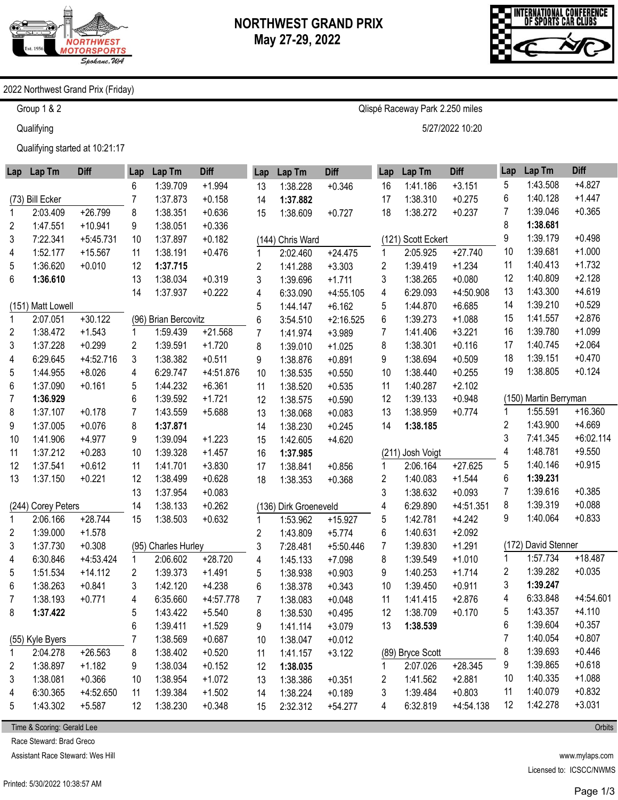

Qlispé Raceway Park 2.250 miles

5/27/2022 10:20



## 2022 Northwest Grand Prix (Friday)

Group 1 & 2

**Qualifying** 

Qualifying started at 10:21:17

|    | Lap Lap Tm         | <b>Diff</b> | Lap | Lap Tm               | <b>Diff</b> | Lap                     | Lap Tm                | <b>Diff</b> | Lap | Lap Tm             | <b>Diff</b> | Lap | Lap Tm                | <b>Diff</b> |
|----|--------------------|-------------|-----|----------------------|-------------|-------------------------|-----------------------|-------------|-----|--------------------|-------------|-----|-----------------------|-------------|
|    |                    |             | 6   | 1:39.709             | $+1.994$    | 13                      | 1:38.228              | $+0.346$    | 16  | 1:41.186           | $+3.151$    | 5   | 1:43.508              | $+4.827$    |
|    | (73) Bill Ecker    |             |     | 1:37.873             | $+0.158$    | 14                      | 1:37.882              |             | 17  | 1:38.310           | $+0.275$    | 6   | 1:40.128              | $+1.447$    |
| 1  | 2:03.409           | $+26.799$   | 8   | 1:38.351             | $+0.636$    | 15                      | 1:38.609              | $+0.727$    | 18  | 1:38.272           | $+0.237$    | 7   | 1:39.046              | $+0.365$    |
| 2  | 1:47.551           | $+10.941$   | 9   | 1:38.051             | $+0.336$    |                         |                       |             |     |                    |             | 8   | 1:38.681              |             |
| 3  | 7:22.341           | $+5:45.731$ | 10  | 1:37.897             | $+0.182$    |                         | (144) Chris Ward      |             |     | (121) Scott Eckert |             | 9   | 1:39.179              | $+0.498$    |
| 4  | 1:52.177           | $+15.567$   | 11  | 1:38.191             | $+0.476$    | 1                       | 2:02.460              | $+24.475$   | 1   | 2:05.925           | $+27.740$   | 10  | 1:39.681              | $+1.000$    |
| 5  | 1:36.620           | $+0.010$    | 12  | 1:37.715             |             | $\overline{c}$          | 1:41.288              | $+3.303$    | 2   | 1:39.419           | $+1.234$    | 11  | 1:40.413              | $+1.732$    |
| 6  | 1:36.610           |             | 13  | 1:38.034             | $+0.319$    | 3                       | 1:39.696              | $+1.711$    | 3   | 1:38.265           | $+0.080$    | 12  | 1:40.809              | $+2.128$    |
|    |                    |             | 14  | 1:37.937             | $+0.222$    | 4                       | 6:33.090              | $+4:55.105$ | 4   | 6:29.093           | $+4:50.908$ | 13  | 1:43.300              | $+4.619$    |
|    | (151) Matt Lowell  |             |     |                      |             | 5                       | 1:44.147              | $+6.162$    | 5   | 1:44.870           | $+6.685$    | 14  | 1:39.210              | $+0.529$    |
| 1  | 2:07.051           | $+30.122$   |     | (96) Brian Bercovitz |             | 6                       | 3:54.510              | $+2:16.525$ | 6   | 1:39.273           | $+1.088$    | 15  | 1:41.557              | $+2.876$    |
| 2  | 1:38.472           | $+1.543$    |     | 1:59.439             | $+21.568$   | $\overline{7}$          | 1:41.974              | $+3.989$    | 7   | 1:41.406           | $+3.221$    | 16  | 1:39.780              | $+1.099$    |
| 3  | 1:37.228           | $+0.299$    | 2   | 1:39.591             | $+1.720$    | 8                       | 1:39.010              | $+1.025$    | 8   | 1:38.301           | $+0.116$    | 17  | 1:40.745              | $+2.064$    |
| 4  | 6:29.645           | $+4:52.716$ | 3   | 1:38.382             | $+0.511$    | 9                       | 1:38.876              | $+0.891$    | 9   | 1:38.694           | $+0.509$    | 18  | 1:39.151              | $+0.470$    |
| 5  | 1:44.955           | $+8.026$    | 4   | 6:29.747             | +4:51.876   | 10                      | 1:38.535              | $+0.550$    | 10  | 1:38.440           | $+0.255$    | 19  | 1:38.805              | $+0.124$    |
| 6  | 1:37.090           | $+0.161$    | 5   | 1:44.232             | $+6.361$    | 11                      | 1:38.520              | $+0.535$    | 11  | 1:40.287           | $+2.102$    |     |                       |             |
| 7  | 1:36.929           |             | 6   | 1:39.592             | $+1.721$    | 12                      | 1:38.575              | $+0.590$    | 12  | 1:39.133           | $+0.948$    |     | (150) Martin Berryman |             |
| 8  | 1:37.107           | $+0.178$    | 7   | 1:43.559             | $+5.688$    | 13                      | 1:38.068              | $+0.083$    | 13  | 1:38.959           | $+0.774$    | 1   | 1:55.591              | $+16.360$   |
| 9  | 1:37.005           | $+0.076$    | 8   | 1:37.871             |             | 14                      | 1:38.230              | $+0.245$    | 14  | 1:38.185           |             | 2   | 1:43.900              | $+4.669$    |
| 10 | 1:41.906           | $+4.977$    | 9   | 1:39.094             | $+1.223$    | 15                      | 1:42.605              | $+4.620$    |     |                    |             | 3   | 7:41.345              | $+6:02.114$ |
| 11 | 1:37.212           | $+0.283$    | 10  | 1:39.328             | $+1.457$    | 16                      | 1:37.985              |             |     | (211) Josh Voigt   |             | 4   | 1:48.781              | $+9.550$    |
| 12 | 1:37.541           | $+0.612$    | 11  | 1:41.701             | $+3.830$    | 17                      | 1:38.841              | $+0.856$    | 1   | 2:06.164           | $+27.625$   | 5   | 1:40.146              | $+0.915$    |
| 13 | 1:37.150           | $+0.221$    | 12  | 1:38.499             | $+0.628$    | 18                      | 1:38.353              | $+0.368$    | 2   | 1:40.083           | $+1.544$    | 6   | 1:39.231              |             |
|    |                    |             | 13  | 1:37.954             | $+0.083$    |                         |                       |             | 3   | 1:38.632           | $+0.093$    | 7   | 1:39.616              | $+0.385$    |
|    | (244) Corey Peters |             | 14  | 1:38.133             | $+0.262$    |                         | (136) Dirk Groeneveld |             | 4   | 6:29.890           | $+4:51.351$ | 8   | 1:39.319              | $+0.088$    |
| 1  | 2:06.166           | $+28.744$   | 15  | 1:38.503             | $+0.632$    | 1                       | 1:53.962              | $+15.927$   | 5   | 1:42.781           | $+4.242$    | 9   | 1:40.064              | $+0.833$    |
| 2  | 1:39.000           | $+1.578$    |     |                      |             | $\overline{\mathbf{c}}$ | 1:43.809              | $+5.774$    | 6   | 1:40.631           | $+2.092$    |     |                       |             |
| 3  | 1:37.730           | $+0.308$    |     | (95) Charles Hurley  |             | 3                       | 7:28.481              | $+5:50.446$ | 7   | 1:39.830           | $+1.291$    |     | (172) David Stenner   |             |
| 4  | 6:30.846           | $+4:53.424$ | 1   | 2:06.602             | $+28.720$   | 4                       | 1:45.133              | $+7.098$    | 8   | 1:39.549           | $+1.010$    | 1   | 1:57.734              | $+18.487$   |
| 5  | 1:51.534           | $+14.112$   | 2   | 1:39.373             | $+1.491$    | 5                       | 1:38.938              | $+0.903$    | 9   | 1:40.253           | $+1.714$    | 2   | 1:39.282              | $+0.035$    |
| 6  | 1:38.263           | $+0.841$    | 3   | 1:42.120             | $+4.238$    | 6                       | 1:38.378              | $+0.343$    | 10  | 1:39.450           | $+0.911$    | 3   | 1:39.247              |             |
| 7  | 1:38.193           | $+0.771$    | 4   | 6:35.660             | $+4.57.778$ | $\overline{7}$          | 1:38.083              | $+0.048$    | 11  | 1:41.415           | $+2.876$    | 4   | 6:33.848              | $+4:54.601$ |
| 8  | 1:37.422           |             | 5   | 1:43.422             | $+5.540$    | 8                       | 1:38.530              | $+0.495$    | 12  | 1:38.709           | $+0.170$    | 5   | 1:43.357              | $+4.110$    |
|    |                    |             | 6   | 1:39.411             | $+1.529$    | 9                       | 1:41.114              | $+3.079$    | 13  | 1:38.539           |             | 6   | 1:39.604              | $+0.357$    |
|    | (55) Kyle Byers    |             |     | 1:38.569             | $+0.687$    | 10                      | 1:38.047              | $+0.012$    |     |                    |             | 7   | 1:40.054              | $+0.807$    |
| 1  | 2:04.278           | $+26.563$   | 8   | 1:38.402             | $+0.520$    | 11                      | 1:41.157              | $+3.122$    |     | (89) Bryce Scott   |             | 8   | 1:39.693              | $+0.446$    |
| 2  | 1:38.897           | $+1.182$    | 9   | 1:38.034             | $+0.152$    | 12                      | 1:38.035              |             | 1   | 2:07.026           | $+28.345$   | 9   | 1:39.865              | $+0.618$    |
| 3  | 1:38.081           | $+0.366$    | 10  | 1:38.954             | $+1.072$    | 13                      | 1:38.386              | $+0.351$    | 2   | 1:41.562           | $+2.881$    | 10  | 1:40.335              | $+1.088$    |
| 4  | 6:30.365           | $+4:52.650$ | 11  | 1:39.384             | $+1.502$    | 14                      | 1:38.224              | $+0.189$    | 3   | 1:39.484           | $+0.803$    | 11  | 1:40.079              | $+0.832$    |
| 5  | 1:43.302           | $+5.587$    | 12  | 1:38.230             | $+0.348$    | 15                      | 2:32.312              | $+54.277$   | 4   | 6:32.819           | $+4:54.138$ | 12  | 1:42.278              | $+3.031$    |

Time & Scoring: Gerald Lee

Race Steward: Brad Greco

Assistant Race Steward: Wes Hill

www.mylaps.com Licensed to: ICSCC/NWMS

Page 1/3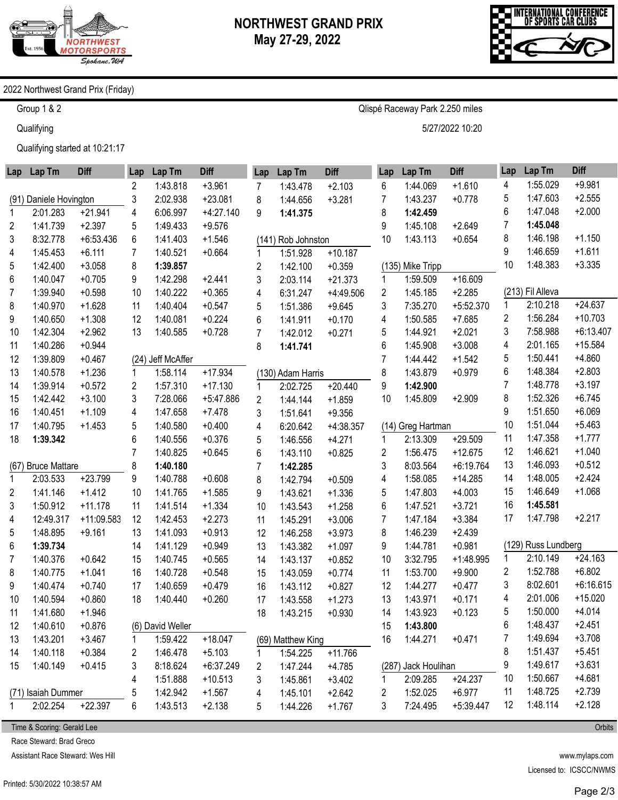

Qlispé Raceway Park 2.250 miles

5/27/2022 10:20



## 2022 Northwest Grand Prix (Friday)

Group 1 & 2

**Qualifying** 

Qualifying started at 10:21:17

|                | Lap Lap Tm             | <b>Diff</b> | Lap | Lap Tm            | <b>Diff</b> | Lap            | Lap Tm             | <b>Diff</b> | Lap | Lap Tm              | <b>Diff</b> | Lap            | Lap Tm              | <b>Diff</b> |
|----------------|------------------------|-------------|-----|-------------------|-------------|----------------|--------------------|-------------|-----|---------------------|-------------|----------------|---------------------|-------------|
|                |                        |             | 2   | 1:43.818          | $+3.961$    | 7              | 1:43.478           | $+2.103$    | 6   | 1:44.069            | $+1.610$    | 4              | 1:55.029            | $+9.981$    |
|                | (91) Daniele Hovington |             | 3   | 2:02.938          | $+23.081$   | 8              | 1:44.656           | $+3.281$    | 7   | 1:43.237            | $+0.778$    | 5              | 1:47.603            | $+2.555$    |
| 1              | 2:01.283               | $+21.941$   | 4   | 6:06.997          | $+4:27.140$ | 9              | 1:41.375           |             | 8   | 1:42.459            |             | 6              | 1:47.048            | $+2.000$    |
| 2              | 1:41.739               | $+2.397$    | 5   | 1:49.433          | $+9.576$    |                |                    |             | 9   | 1:45.108            | $+2.649$    | 7              | 1:45.048            |             |
| 3              | 8:32.778               | $+6:53.436$ | 6   | 1:41.403          | $+1.546$    |                | (141) Rob Johnston |             | 10  | 1:43.113            | $+0.654$    | 8              | 1:46.198            | $+1.150$    |
| 4              | 1:45.453               | $+6.111$    | 7   | 1:40.521          | $+0.664$    | 1              | 1:51.928           | $+10.187$   |     |                     |             | 9              | 1:46.659            | $+1.611$    |
| 5              | 1:42.400               | $+3.058$    | 8   | 1:39.857          |             | $\overline{2}$ | 1:42.100           | $+0.359$    |     | (135) Mike Tripp    |             | 10             | 1:48.383            | $+3.335$    |
| 6              | 1:40.047               | $+0.705$    | 9   | 1:42.298          | $+2.441$    | 3              | 2:03.114           | $+21.373$   | 1   | 1:59.509            | $+16.609$   |                |                     |             |
| 7              | 1:39.940               | $+0.598$    | 10  | 1:40.222          | $+0.365$    | 4              | 6:31.247           | $+4:49.506$ | 2   | 1:45.185            | $+2.285$    |                | (213) Fil Alleva    |             |
| 8              | 1:40.970               | $+1.628$    | 11  | 1:40.404          | $+0.547$    | 5              | 1:51.386           | $+9.645$    | 3   | 7:35.270            | +5:52.370   | 1              | 2:10.218            | $+24.637$   |
| 9              | 1:40.650               | $+1.308$    | 12  | 1:40.081          | $+0.224$    | 6              | 1:41.911           | $+0.170$    | 4   | 1:50.585            | $+7.685$    | $\overline{c}$ | 1:56.284            | $+10.703$   |
| 10             | 1:42.304               | $+2.962$    | 13  | 1:40.585          | $+0.728$    | $\overline{7}$ | 1:42.012           | $+0.271$    | 5   | 1:44.921            | $+2.021$    | 3              | 7:58.988            | $+6:13.407$ |
| 11             | 1:40.286               | $+0.944$    |     |                   |             | 8              | 1:41.741           |             | 6   | 1:45.908            | $+3.008$    | 4              | 2:01.165            | $+15.584$   |
| 12             | 1:39.809               | $+0.467$    |     | (24) Jeff McAffer |             |                |                    |             | 7   | 1:44.442            | $+1.542$    | 5              | 1:50.441            | $+4.860$    |
| 13             | 1:40.578               | $+1.236$    |     | 1:58.114          | $+17.934$   |                | (130) Adam Harris  |             | 8   | 1:43.879            | $+0.979$    | 6              | 1:48.384            | $+2.803$    |
| 14             | 1:39.914               | $+0.572$    | 2   | 1:57.310          | $+17.130$   | 1              | 2:02.725           | $+20.440$   | 9   | 1:42.900            |             | 7              | 1:48.778            | $+3.197$    |
| 15             | 1:42.442               | $+3.100$    | 3   | 7:28.066          | +5:47.886   | $\overline{2}$ | 1:44.144           | $+1.859$    | 10  | 1:45.809            | $+2.909$    | 8              | 1:52.326            | $+6.745$    |
| 16             | 1:40.451               | $+1.109$    | 4   | 1:47.658          | $+7.478$    | 3              | 1:51.641           | $+9.356$    |     |                     |             | 9              | 1:51.650            | $+6.069$    |
| 17             | 1:40.795               | $+1.453$    | 5   | 1:40.580          | $+0.400$    | 4              | 6:20.642           | $+4:38.357$ |     | (14) Greg Hartman   |             | 10             | 1:51.044            | $+5.463$    |
| 18             | 1:39.342               |             | 6   | 1:40.556          | $+0.376$    | 5              | 1:46.556           | $+4.271$    | 1   | 2:13.309            | $+29.509$   | 11             | 1:47.358            | $+1.777$    |
|                |                        |             | 7   | 1:40.825          | $+0.645$    | 6              | 1:43.110           | $+0.825$    | 2   | 1:56.475            | $+12.675$   | 12             | 1:46.621            | $+1.040$    |
| (67)           | <b>Bruce Mattare</b>   |             | 8   | 1:40.180          |             | $\overline{7}$ | 1:42.285           |             | 3   | 8:03.564            | $+6:19.764$ | 13             | 1:46.093            | $+0.512$    |
| 1              | 2:03.533               | $+23.799$   | 9   | 1:40.788          | $+0.608$    | 8              | 1:42.794           | $+0.509$    | 4   | 1:58.085            | $+14.285$   | 14             | 1:48.005            | $+2.424$    |
| 2              | 1:41.146               | $+1.412$    | 10  | 1:41.765          | $+1.585$    | 9              | 1:43.621           | $+1.336$    | 5   | 1:47.803            | $+4.003$    | 15             | 1:46.649            | $+1.068$    |
| 3              | 1:50.912               | $+11.178$   | 11  | 1:41.514          | $+1.334$    | 10             | 1:43.543           | $+1.258$    | 6   | 1:47.521            | $+3.721$    | 16             | 1:45.581            |             |
| 4              | 12:49.317              | +11:09.583  | 12  | 1:42.453          | $+2.273$    | 11             | 1:45.291           | $+3.006$    | 7   | 1:47.184            | $+3.384$    | 17             | 1:47.798            | $+2.217$    |
| 5              | 1:48.895               | $+9.161$    | 13  | 1:41.093          | $+0.913$    | 12             | 1:46.258           | $+3.973$    | 8   | 1:46.239            | $+2.439$    |                |                     |             |
| 6              | 1:39.734               |             | 14  | 1:41.129          | $+0.949$    | 13             | 1:43.382           | $+1.097$    | 9   | 1:44.781            | $+0.981$    |                | (129) Russ Lundberg |             |
| $\overline{7}$ | 1:40.376               | $+0.642$    | 15  | 1:40.745          | $+0.565$    | 14             | 1:43.137           | $+0.852$    | 10  | 3:32.795            | $+1:48.995$ | 1              | 2:10.149            | $+24.163$   |
| 8              | 1:40.775               | $+1.041$    | 16  | 1:40.728          | $+0.548$    | 15             | 1:43.059           | $+0.774$    | 11  | 1:53.700            | $+9.900$    | 2              | 1:52.788            | $+6.802$    |
| 9              | 1:40.474               | $+0.740$    | 17  | 1:40.659          | $+0.479$    | 16             | 1:43.112           | $+0.827$    | 12  | 1:44.277            | $+0.477$    | 3              | 8:02.601            | $+6:16.615$ |
| 10             | 1:40.594               | $+0.860$    | 18  | 1:40.440          | $+0.260$    | 17             | 1:43.558           | $+1.273$    | 13  | 1:43.971            | $+0.171$    | 4              | 2:01.006            | $+15.020$   |
| 11             | 1:41.680               | $+1.946$    |     |                   |             | 18             | 1:43.215           | $+0.930$    | 14  | 1:43.923            | $+0.123$    | 5              | 1:50.000            | $+4.014$    |
| 12             | 1:40.610               | $+0.876$    |     | (6) David Weller  |             |                |                    |             | 15  | 1:43.800            |             | 6              | 1:48.437            | $+2.451$    |
| 13             | 1:43.201               | $+3.467$    |     | 1:59.422          | $+18.047$   |                | (69) Matthew King  |             | 16  | 1:44.271            | $+0.471$    | 7              | 1:49.694            | $+3.708$    |
| 14             | 1:40.118               | $+0.384$    | 2   | 1:46.478          | $+5.103$    | 1              | 1:54.225           | $+11.766$   |     |                     |             | 8              | 1:51.437            | $+5.451$    |
| 15             | 1:40.149               | $+0.415$    | 3   | 8:18.624          | $+6:37.249$ | 2              | 1:47.244           | $+4.785$    |     | (287) Jack Houlihan |             | 9              | 1:49.617            | $+3.631$    |
|                |                        |             | 4   | 1:51.888          | $+10.513$   | 3              | 1:45.861           | $+3.402$    | 1   | 2:09.285            | $+24.237$   | 10             | 1:50.667            | $+4.681$    |
|                | (71) Isaiah Dummer     |             | 5   | 1:42.942          | $+1.567$    | 4              | 1:45.101           | $+2.642$    | 2   | 1:52.025            | $+6.977$    | 11             | 1:48.725            | $+2.739$    |
|                | 2:02.254               | $+22.397$   | 6   | 1:43.513          | $+2.138$    | 5              | 1:44.226           | $+1.767$    | 3   | 7:24.495            | $+5:39.447$ | 12             | 1:48.114            | $+2.128$    |
|                |                        |             |     |                   |             |                |                    |             |     |                     |             |                |                     |             |

Time & Scoring: Gerald Lee

Race Steward: Brad Greco

Assistant Race Steward: Wes Hill

**Orbits**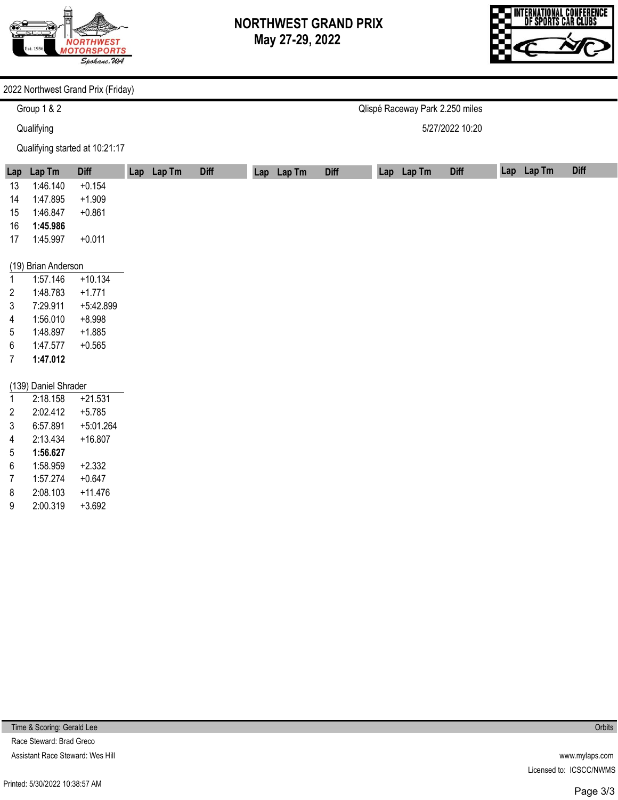

Qlispé Raceway Park 2.250 miles

5/27/2022 10:20



## 2022 Northwest Grand Prix (Friday)

Group 1 & 2

**Qualifying** 

Qualifying started at 10:21:17

| Lap            | Lap Tm               | <b>Diff</b> | Lap Lap Tm | <b>Diff</b> | Lap Lap Tm | <b>Diff</b> | Lap Lap Tm | <b>Diff</b> | Lap Lap Tm | <b>Diff</b> |
|----------------|----------------------|-------------|------------|-------------|------------|-------------|------------|-------------|------------|-------------|
| 13             | 1:46.140             | $+0.154$    |            |             |            |             |            |             |            |             |
| 14             | 1:47.895             | $+1.909$    |            |             |            |             |            |             |            |             |
| 15             | 1:46.847             | $+0.861$    |            |             |            |             |            |             |            |             |
| 16             | 1:45.986             |             |            |             |            |             |            |             |            |             |
| 17             | 1:45.997             | $+0.011$    |            |             |            |             |            |             |            |             |
|                |                      |             |            |             |            |             |            |             |            |             |
|                | (19) Brian Anderson  |             |            |             |            |             |            |             |            |             |
| 1              | 1:57.146             | $+10.134$   |            |             |            |             |            |             |            |             |
| 2              | 1:48.783             | $+1.771$    |            |             |            |             |            |             |            |             |
| 3              | 7:29.911             | +5:42.899   |            |             |            |             |            |             |            |             |
| 4              | 1:56.010             | $+8.998$    |            |             |            |             |            |             |            |             |
| 5              | 1:48.897             | $+1.885$    |            |             |            |             |            |             |            |             |
| 6              | 1:47.577             | $+0.565$    |            |             |            |             |            |             |            |             |
| 7              | 1:47.012             |             |            |             |            |             |            |             |            |             |
|                |                      |             |            |             |            |             |            |             |            |             |
|                | (139) Daniel Shrader |             |            |             |            |             |            |             |            |             |
|                | 2:18.158             | $+21.531$   |            |             |            |             |            |             |            |             |
| $\overline{2}$ | 2:02.412             | $+5.785$    |            |             |            |             |            |             |            |             |
| 3              | 6:57.891             | $+5:01.264$ |            |             |            |             |            |             |            |             |
| 4              | 2:13.434             | $+16.807$   |            |             |            |             |            |             |            |             |
| 5              | 1:56.627             |             |            |             |            |             |            |             |            |             |
| 6              | 1:58.959             | $+2.332$    |            |             |            |             |            |             |            |             |
| 7              | 1:57.274             | $+0.647$    |            |             |            |             |            |             |            |             |
| 8              | 2:08.103             | $+11.476$   |            |             |            |             |            |             |            |             |
| 9              | 2:00.319             | $+3.692$    |            |             |            |             |            |             |            |             |

Time & Scoring: Gerald Lee

Race Steward: Brad Greco Assistant Race Steward: Wes Hill **Orbits**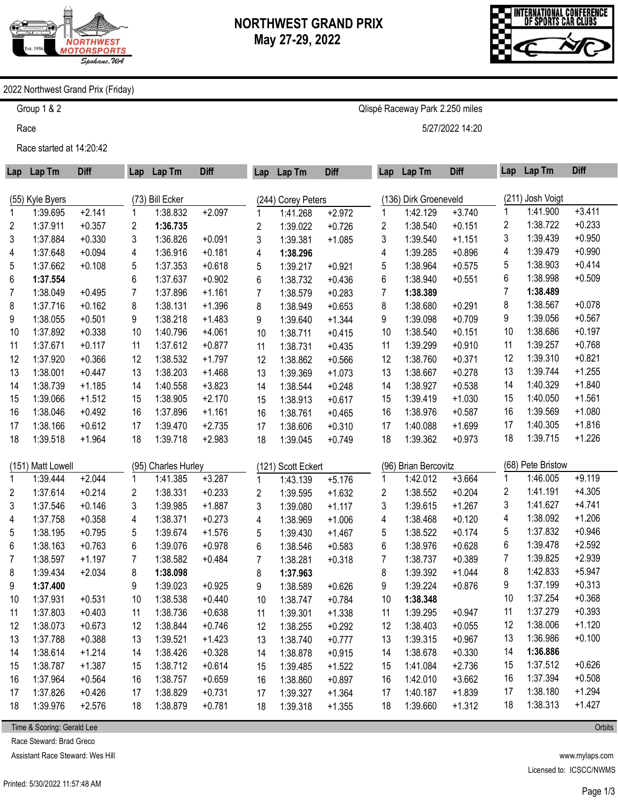

Qlispé Raceway Park 2.250 miles

5/27/2022 14:20



## 2022 Northwest Grand Prix (Friday)

Group 1 & 2

Race

Race started at 14:20:42

| Lap | Lap Tm            | <b>Diff</b> | Lap            | Lap Tm              | <b>Diff</b> | Lap            | Lap Tm             | <b>Diff</b> | Lap | Lap Tm                | <b>Diff</b> | Lap | Lap Tm            | <b>Diff</b> |
|-----|-------------------|-------------|----------------|---------------------|-------------|----------------|--------------------|-------------|-----|-----------------------|-------------|-----|-------------------|-------------|
|     | (55) Kyle Byers   |             |                | (73) Bill Ecker     |             |                | (244) Corey Peters |             |     | (136) Dirk Groeneveld |             |     | (211) Josh Voigt  |             |
| 1   | 1:39.695          | $+2.141$    |                | 1:38.832            | $+2.097$    | 1              | 1:41.268           | $+2.972$    |     | 1:42.129              | $+3.740$    | 1   | 1:41.900          | $+3.411$    |
| 2   | 1:37.911          | $+0.357$    | 2              | 1:36.735            |             | 2              | 1:39.022           | $+0.726$    | 2   | 1:38.540              | $+0.151$    | 2   | 1:38.722          | $+0.233$    |
| 3   | 1:37.884          | $+0.330$    | 3              | 1:36.826            | $+0.091$    | 3              | 1:39.381           | $+1.085$    | 3   | 1:39.540              | $+1.151$    | 3   | 1:39.439          | $+0.950$    |
| 4   | 1:37.648          | $+0.094$    | 4              | 1:36.916            | $+0.181$    | 4              | 1:38.296           |             | 4   | 1:39.285              | $+0.896$    | 4   | 1:39.479          | $+0.990$    |
| 5   | 1:37.662          | $+0.108$    | 5              | 1:37.353            | $+0.618$    | 5              | 1:39.217           | $+0.921$    | 5   | 1:38.964              | $+0.575$    | 5   | 1:38.903          | $+0.414$    |
| 6   | 1:37.554          |             | 6              | 1:37.637            | $+0.902$    | 6              | 1:38.732           | $+0.436$    | 6   | 1:38.940              | $+0.551$    | 6   | 1:38.998          | $+0.509$    |
| 7   | 1:38.049          | $+0.495$    | $\overline{7}$ | 1:37.896            | $+1.161$    | $\overline{7}$ | 1:38.579           | $+0.283$    | 7   | 1:38.389              |             | 7   | 1:38.489          |             |
| 8   | 1:37.716          | $+0.162$    | 8              | 1:38.131            | $+1.396$    | 8              | 1:38.949           | $+0.653$    | 8   | 1:38.680              | $+0.291$    | 8   | 1:38.567          | $+0.078$    |
| 9   | 1:38.055          | $+0.501$    | 9              | 1:38.218            | $+1.483$    | 9              | 1:39.640           | $+1.344$    | 9   | 1:39.098              | $+0.709$    | 9   | 1:39.056          | $+0.567$    |
| 10  | 1:37.892          | $+0.338$    | 10             | 1:40.796            | $+4.061$    | 10             | 1:38.711           | $+0.415$    | 10  | 1:38.540              | $+0.151$    | 10  | 1:38.686          | $+0.197$    |
| 11  | 1:37.671          | $+0.117$    | 11             | 1:37.612            | $+0.877$    | 11             | 1:38.731           | $+0.435$    | 11  | 1:39.299              | $+0.910$    | 11  | 1:39.257          | $+0.768$    |
| 12  | 1:37.920          | $+0.366$    | 12             | 1:38.532            | $+1.797$    | 12             | 1:38.862           | $+0.566$    | 12  | 1:38.760              | $+0.371$    | 12  | 1:39.310          | $+0.821$    |
| 13  | 1:38.001          | $+0.447$    | 13             | 1:38.203            | $+1.468$    | 13             | 1:39.369           | $+1.073$    | 13  | 1:38.667              | $+0.278$    | 13  | 1:39.744          | $+1.255$    |
| 14  | 1:38.739          | $+1.185$    | 14             | 1:40.558            | $+3.823$    | 14             | 1:38.544           | $+0.248$    | 14  | 1:38.927              | $+0.538$    | 14  | 1:40.329          | $+1.840$    |
| 15  | 1:39.066          | $+1.512$    | 15             | 1:38.905            | $+2.170$    | 15             | 1:38.913           | $+0.617$    | 15  | 1:39.419              | $+1.030$    | 15  | 1:40.050          | $+1.561$    |
| 16  | 1:38.046          | $+0.492$    | 16             | 1:37.896            | $+1.161$    | 16             | 1:38.761           | $+0.465$    | 16  | 1:38.976              | $+0.587$    | 16  | 1:39.569          | $+1.080$    |
| 17  | 1:38.166          | $+0.612$    | 17             | 1:39.470            | $+2.735$    | 17             | 1:38.606           | $+0.310$    | 17  | 1:40.088              | $+1.699$    | 17  | 1:40.305          | $+1.816$    |
| 18  | 1:39.518          | $+1.964$    | 18             | 1:39.718            | $+2.983$    | 18             | 1:39.045           | $+0.749$    | 18  | 1:39.362              | $+0.973$    | 18  | 1:39.715          | $+1.226$    |
|     |                   |             |                |                     |             |                |                    |             |     |                       |             |     |                   |             |
|     | (151) Matt Lowell |             |                | (95) Charles Hurley |             |                | (121) Scott Eckert |             |     | (96) Brian Bercovitz  |             |     | (68) Pete Bristow |             |
| 1   | 1:39.444          | $+2.044$    | 1              | 1:41.385            | $+3.287$    | 1              | 1:43.139           | $+5.176$    |     | 1:42.012              | $+3.664$    | 1   | 1:46.005          | $+9.119$    |
| 2   | 1:37.614          | $+0.214$    | 2              | 1:38.331            | $+0.233$    | $\overline{c}$ | 1:39.595           | $+1.632$    | 2   | 1:38.552              | $+0.204$    | 2   | 1:41.191          | $+4.305$    |
| 3   | 1:37.546          | $+0.146$    | 3              | 1:39.985            | $+1.887$    | 3              | 1:39.080           | $+1.117$    | 3   | 1:39.615              | $+1.267$    | 3   | 1:41.627          | $+4.741$    |
| 4   | 1:37.758          | $+0.358$    | 4              | 1:38.371            | $+0.273$    | 4              | 1:38.969           | $+1.006$    | 4   | 1:38.468              | $+0.120$    | 4   | 1:38.092          | $+1.206$    |
| 5   | 1:38.195          | $+0.795$    | 5              | 1:39.674            | $+1.576$    | 5              | 1:39.430           | $+1.467$    | 5   | 1:38.522              | $+0.174$    | 5   | 1:37.832          | $+0.946$    |
| 6   | 1:38.163          | $+0.763$    | 6              | 1:39.076            | $+0.978$    | 6              | 1:38.546           | $+0.583$    | 6   | 1:38.976              | $+0.628$    | 6   | 1:39.478          | $+2.592$    |
| 7   | 1:38.597          | $+1.197$    | 7              | 1:38.582            | $+0.484$    | $\overline{7}$ | 1:38.281           | $+0.318$    | 7   | 1:38.737              | $+0.389$    | 7   | 1:39.825          | $+2.939$    |
| 8   | 1:39.434          | $+2.034$    | 8              | 1:38.098            |             | 8              | 1:37.963           |             | 8   | 1:39.392              | $+1.044$    | 8   | 1:42.833          | $+5.947$    |
| 9   | 1:37.400          |             | 9              | 1:39.023            | $+0.925$    | 9              | 1:38.589           | $+0.626$    | 9   | 1:39.224              | $+0.876$    | 9   | 1:37.199          | $+0.313$    |
| 10  | 1:37.931          | $+0.531$    | 10             | 1:38.538            | $+0.440$    | 10             | 1:38.747           | $+0.784$    | 10  | 1:38.348              |             | 10  | 1:37.254          | $+0.368$    |
| 11  | 1:37.803          | $+0.403$    | 11             | 1:38.736            | $+0.638$    | 11             | 1:39.301           | $+1.338$    | 11  | 1:39.295              | $+0.947$    | 11  | 1:37.279          | $+0.393$    |
| 12  | 1:38.073          | $+0.673$    | 12             | 1:38.844            | $+0.746$    | 12             | 1:38.255           | $+0.292$    | 12  | 1:38.403              | $+0.055$    | 12  | 1:38.006          | $+1.120$    |
| 13  | 1:37.788          | $+0.388$    | 13             | 1:39.521            | $+1.423$    | 13             | 1:38.740           | $+0.777$    | 13  | 1:39.315              | $+0.967$    | 13  | 1:36.986          | $+0.100$    |
| 14  | 1:38.614          | $+1.214$    | 14             | 1:38.426            | $+0.328$    | 14             | 1:38.878           | $+0.915$    | 14  | 1:38.678              | $+0.330$    | 14  | 1:36.886          |             |
| 15  | 1:38.787          | $+1.387$    | 15             | 1:38.712            | $+0.614$    | 15             | 1:39.485           | $+1.522$    | 15  | 1:41.084              | $+2.736$    | 15  | 1:37.512          | $+0.626$    |
| 16  | 1:37.964          | $+0.564$    | 16             | 1:38.757            | $+0.659$    | 16             | 1:38.860           | $+0.897$    | 16  | 1:42.010              | $+3.662$    | 16  | 1:37.394          | $+0.508$    |
| 17  | 1:37.826          | $+0.426$    | 17             | 1:38.829            | $+0.731$    | 17             | 1:39.327           | $+1.364$    | 17  | 1:40.187              | $+1.839$    | 17  | 1:38.180          | $+1.294$    |
| 18  | 1:39.976          | $+2.576$    | 18             | 1:38.879            | $+0.781$    | 18             | 1:39.318           | $+1.355$    | 18  | 1:39.660              | $+1.312$    | 18  | 1:38.313          | $+1.427$    |

Time & Scoring: Gerald Lee

Race Steward: Brad Greco

Assistant Race Steward: Wes Hill

www.mylaps.com Licensed to: ICSCC/NWMS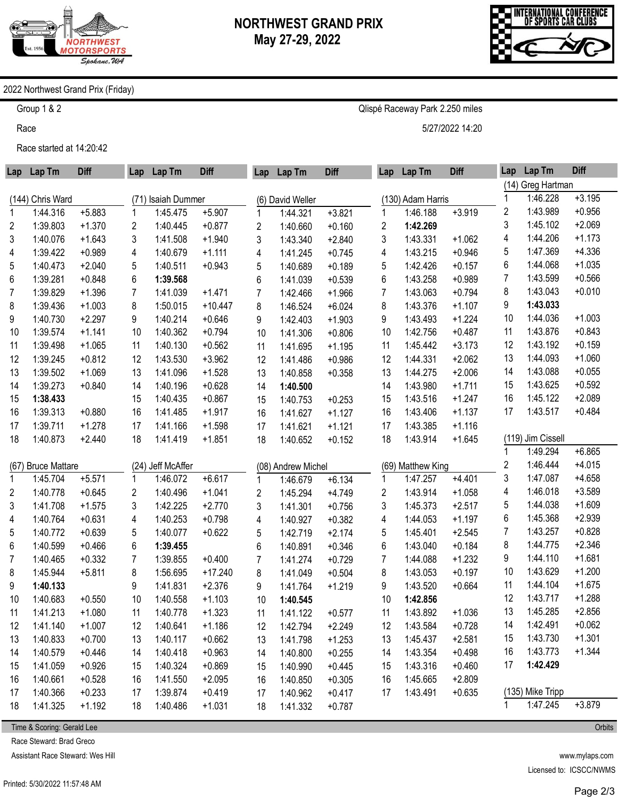



## 2022 Northwest Grand Prix (Friday)

Group 1 & 2

Race

Race started at 14:20:42

| Lap | Lap Tm             | <b>Diff</b> | Lap            | Lap Tm             | <b>Diff</b> | Lap            | Lap Tm             | <b>Diff</b> | Lap | Lap Tm            | <b>Diff</b> | Lap | Lap Tm            | <b>Diff</b> |
|-----|--------------------|-------------|----------------|--------------------|-------------|----------------|--------------------|-------------|-----|-------------------|-------------|-----|-------------------|-------------|
|     |                    |             |                |                    |             |                |                    |             |     |                   |             |     | (14) Greg Hartman |             |
|     | (144) Chris Ward   |             |                | (71) Isaiah Dummer |             |                | (6) David Weller   |             |     | (130) Adam Harris |             | 1   | 1:46.228          | $+3.195$    |
| 1   | 1:44.316           | $+5.883$    | 1              | 1:45.475           | $+5.907$    | $\mathbf{1}$   | 1:44.321           | $+3.821$    |     | 1:46.188          | $+3.919$    | 2   | 1:43.989          | $+0.956$    |
| 2   | 1:39.803           | $+1.370$    | 2              | 1:40.445           | $+0.877$    | 2              | 1:40.660           | $+0.160$    | 2   | 1:42.269          |             | 3   | 1:45.102          | $+2.069$    |
| 3   | 1:40.076           | $+1.643$    | 3              | 1:41.508           | $+1.940$    | 3              | 1:43.340           | $+2.840$    | 3   | 1:43.331          | $+1.062$    | 4   | 1:44.206          | $+1.173$    |
| 4   | 1:39.422           | $+0.989$    | 4              | 1:40.679           | $+1.111$    | 4              | 1:41.245           | $+0.745$    | 4   | 1:43.215          | $+0.946$    | 5   | 1:47.369          | $+4.336$    |
| 5   | 1:40.473           | $+2.040$    | 5              | 1:40.511           | $+0.943$    | 5              | 1:40.689           | $+0.189$    | 5   | 1:42.426          | $+0.157$    | 6   | 1:44.068          | $+1.035$    |
| 6   | 1:39.281           | $+0.848$    | 6              | 1:39.568           |             | 6              | 1:41.039           | $+0.539$    | 6   | 1:43.258          | $+0.989$    | 7   | 1:43.599          | $+0.566$    |
| 7   | 1:39.829           | $+1.396$    | $\overline{7}$ | 1:41.039           | $+1.471$    | $\overline{7}$ | 1:42.466           | $+1.966$    | 7   | 1:43.063          | $+0.794$    | 8   | 1:43.043          | $+0.010$    |
| 8   | 1:39.436           | $+1.003$    | 8              | 1:50.015           | $+10.447$   | 8              | 1:46.524           | $+6.024$    | 8   | 1:43.376          | $+1.107$    | 9   | 1:43.033          |             |
| 9   | 1:40.730           | $+2.297$    | 9              | 1:40.214           | $+0.646$    | 9              | 1:42.403           | $+1.903$    | 9   | 1:43.493          | $+1.224$    | 10  | 1:44.036          | $+1.003$    |
| 10  | 1:39.574           | $+1.141$    | 10             | 1:40.362           | $+0.794$    | 10             | 1:41.306           | $+0.806$    | 10  | 1:42.756          | $+0.487$    | 11  | 1:43.876          | $+0.843$    |
| 11  | 1:39.498           | $+1.065$    | 11             | 1:40.130           | $+0.562$    | 11             | 1:41.695           | $+1.195$    | 11  | 1:45.442          | $+3.173$    | 12  | 1:43.192          | $+0.159$    |
| 12  | 1:39.245           | $+0.812$    | 12             | 1:43.530           | $+3.962$    | 12             | 1:41.486           | $+0.986$    | 12  | 1:44.331          | $+2.062$    | 13  | 1:44.093          | $+1.060$    |
| 13  | 1:39.502           | $+1.069$    | 13             | 1:41.096           | $+1.528$    | 13             | 1:40.858           | $+0.358$    | 13  | 1:44.275          | $+2.006$    | 14  | 1:43.088          | $+0.055$    |
| 14  | 1:39.273           | $+0.840$    | 14             | 1:40.196           | $+0.628$    | 14             | 1:40.500           |             | 14  | 1:43.980          | $+1.711$    | 15  | 1:43.625          | $+0.592$    |
| 15  | 1:38.433           |             | 15             | 1:40.435           | $+0.867$    | 15             | 1:40.753           | $+0.253$    | 15  | 1:43.516          | $+1.247$    | 16  | 1:45.122          | $+2.089$    |
| 16  | 1:39.313           | $+0.880$    | 16             | 1:41.485           | $+1.917$    | 16             | 1:41.627           | $+1.127$    | 16  | 1:43.406          | $+1.137$    | 17  | 1:43.517          | $+0.484$    |
| 17  | 1:39.711           | $+1.278$    | 17             | 1:41.166           | $+1.598$    | 17             | 1:41.621           | $+1.121$    | 17  | 1:43.385          | $+1.116$    |     |                   |             |
| 18  | 1:40.873           | $+2.440$    | 18             | 1:41.419           | $+1.851$    | 18             | 1:40.652           | $+0.152$    | 18  | 1:43.914          | $+1.645$    |     | (119) Jim Cissell |             |
|     |                    |             |                |                    |             |                |                    |             |     |                   |             | 1   | 1:49.294          | $+6.865$    |
|     | (67) Bruce Mattare |             |                | (24) Jeff McAffer  |             |                | (08) Andrew Michel |             |     | (69) Matthew King |             | 2   | 1:46.444          | $+4.015$    |
| 1   | 1:45.704           | $+5.571$    | 1              | 1:46.072           | $+6.617$    | $\mathbf{1}$   | 1:46.679           | $+6.134$    | 1   | 1:47.257          | $+4.401$    | 3   | 1:47.087          | $+4.658$    |
| 2   | 1:40.778           | $+0.645$    | 2              | 1:40.496           | $+1.041$    | 2              | 1:45.294           | $+4.749$    | 2   | 1:43.914          | $+1.058$    | 4   | 1:46.018          | $+3.589$    |
| 3   | 1:41.708           | $+1.575$    | 3              | 1:42.225           | $+2.770$    | 3              | 1:41.301           | $+0.756$    | 3   | 1:45.373          | $+2.517$    | 5   | 1:44.038          | $+1.609$    |
| 4   | 1:40.764           | $+0.631$    | 4              | 1:40.253           | $+0.798$    | 4              | 1:40.927           | $+0.382$    | 4   | 1:44.053          | $+1.197$    | 6   | 1:45.368          | $+2.939$    |
| 5   | 1:40.772           | $+0.639$    | 5              | 1:40.077           | $+0.622$    | 5              | 1:42.719           | $+2.174$    | 5   | 1:45.401          | $+2.545$    | 7   | 1:43.257          | $+0.828$    |
| 6   | 1:40.599           | $+0.466$    | 6              | 1:39.455           |             | 6              | 1:40.891           | $+0.346$    | 6   | 1:43.040          | $+0.184$    | 8   | 1:44.775          | $+2.346$    |
| 7   | 1:40.465           | $+0.332$    | 7              | 1:39.855           | $+0.400$    | $\overline{7}$ | 1:41.274           | $+0.729$    | 7   | 1:44.088          | $+1.232$    | 9   | 1:44.110          | $+1.681$    |
| 8   | 1:45.944           | $+5.811$    | 8              | 1:56.695           | $+17.240$   | 8              | 1:41.049           | $+0.504$    | 8   | 1:43.053          | $+0.197$    | 10  | 1:43.629          | $+1.200$    |
| 9   | 1:40.133           |             | 9              | 1:41.831           | $+2.376$    | 9              | 1:41.764           | $+1.219$    | 9   | 1:43.520          | $+0.664$    | 11  | 1:44.104          | $+1.675$    |
| 10  | 1:40.683           | $+0.550$    | 10             | 1:40.558           | $+1.103$    | 10             | 1:40.545           |             | 10  | 1:42.856          |             | 12  | 1:43.717          | $+1.288$    |
| 11  | 1:41.213           | $+1.080$    | 11             | 1:40.778           | $+1.323$    | 11             | 1:41.122           | $+0.577$    | 11  | 1:43.892          | $+1.036$    | 13  | 1:45.285          | $+2.856$    |
| 12  | 1:41.140           | $+1.007$    | 12             | 1:40.641           | $+1.186$    | 12             | 1:42.794           | $+2.249$    | 12  | 1:43.584          | $+0.728$    | 14  | 1:42.491          | $+0.062$    |
| 13  | 1:40.833           | $+0.700$    | 13             | 1:40.117           | $+0.662$    | 13             | 1:41.798           | $+1.253$    | 13  | 1:45.437          | $+2.581$    | 15  | 1:43.730          | $+1.301$    |
| 14  | 1:40.579           | $+0.446$    | 14             | 1:40.418           | $+0.963$    | 14             | 1:40.800           | $+0.255$    | 14  | 1:43.354          | $+0.498$    | 16  | 1:43.773          | $+1.344$    |
| 15  | 1:41.059           | $+0.926$    | 15             | 1:40.324           | $+0.869$    | 15             | 1:40.990           | $+0.445$    | 15  | 1:43.316          | $+0.460$    | 17  | 1:42.429          |             |
| 16  | 1:40.661           | $+0.528$    | 16             | 1:41.550           | $+2.095$    | 16             | 1:40.850           | $+0.305$    | 16  | 1:45.665          | $+2.809$    |     |                   |             |
| 17  | 1:40.366           | $+0.233$    | 17             | 1:39.874           | $+0.419$    | 17             | 1:40.962           | $+0.417$    | 17  | 1:43.491          | $+0.635$    |     | (135) Mike Tripp  |             |
| 18  | 1:41.325           | $+1.192$    | 18             | 1:40.486           | $+1.031$    | 18             | 1:41.332           | $+0.787$    |     |                   |             | 1   | 1:47.245          | $+3.879$    |

Time & Scoring: Gerald Lee

Race Steward: Brad Greco

Assistant Race Steward: Wes Hill

www.mylaps.com Licensed to: ICSCC/NWMS

**Orbits** 

Qlispé Raceway Park 2.250 miles

5/27/2022 14:20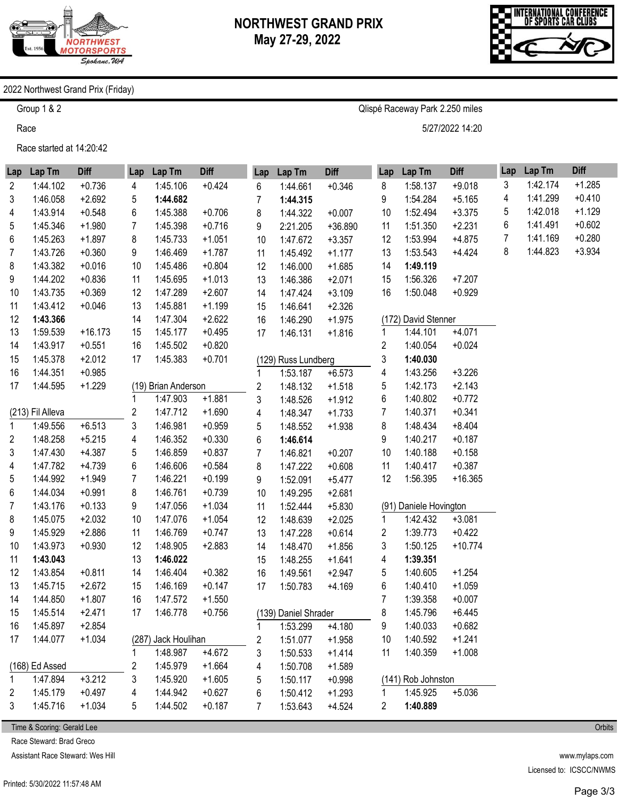

Qlispé Raceway Park 2.250 miles

5/27/2022 14:20



## 2022 Northwest Grand Prix (Friday)

Group 1 & 2

Race

Race started at 14:20:42

| Lap          | Lap Tm           | <b>Diff</b> | Lap            | Lap Tm              | <b>Diff</b> | Lap | Lap Tm               | <b>Diff</b> | Lap | Lap Tm                 | <b>Diff</b> | Lap | Lap Tm   | <b>Diff</b> |
|--------------|------------------|-------------|----------------|---------------------|-------------|-----|----------------------|-------------|-----|------------------------|-------------|-----|----------|-------------|
| 2            | 1:44.102         | $+0.736$    | 4              | 1:45.106            | $+0.424$    | 6   | 1:44.661             | $+0.346$    | 8   | 1:58.137               | $+9.018$    | 3   | 1:42.174 | $+1.285$    |
| 3            | 1:46.058         | $+2.692$    | 5              | 1:44.682            |             | 7   | 1:44.315             |             | 9   | 1:54.284               | $+5.165$    | 4   | 1:41.299 | $+0.410$    |
| 4            | 1:43.914         | $+0.548$    | 6              | 1:45.388            | $+0.706$    | 8   | 1:44.322             | $+0.007$    | 10  | 1:52.494               | $+3.375$    | 5   | 1:42.018 | $+1.129$    |
| 5            | 1:45.346         | $+1.980$    | $\overline{7}$ | 1:45.398            | $+0.716$    | 9   | 2:21.205             | $+36.890$   | 11  | 1:51.350               | $+2.231$    | 6   | 1:41.491 | $+0.602$    |
| 6            | 1:45.263         | $+1.897$    | 8              | 1:45.733            | $+1.051$    | 10  | 1:47.672             | $+3.357$    | 12  | 1:53.994               | $+4.875$    | 7   | 1:41.169 | $+0.280$    |
| 7            | 1:43.726         | $+0.360$    | 9              | 1:46.469            | $+1.787$    | 11  | 1:45.492             | $+1.177$    | 13  | 1:53.543               | $+4.424$    | 8   | 1:44.823 | $+3.934$    |
| 8            | 1:43.382         | $+0.016$    | 10             | 1:45.486            | $+0.804$    | 12  | 1:46.000             | $+1.685$    | 14  | 1:49.119               |             |     |          |             |
| 9            | 1:44.202         | $+0.836$    | 11             | 1:45.695            | $+1.013$    | 13  | 1:46.386             | $+2.071$    | 15  | 1:56.326               | $+7.207$    |     |          |             |
| 10           | 1:43.735         | $+0.369$    | 12             | 1:47.289            | $+2.607$    | 14  | 1:47.424             | $+3.109$    | 16  | 1:50.048               | $+0.929$    |     |          |             |
| 11           | 1:43.412         | $+0.046$    | 13             | 1:45.881            | $+1.199$    | 15  | 1:46.641             | $+2.326$    |     |                        |             |     |          |             |
| 12           | 1:43.366         |             | 14             | 1:47.304            | $+2.622$    | 16  | 1:46.290             | $+1.975$    |     | (172) David Stenner    |             |     |          |             |
| 13           | 1:59.539         | $+16.173$   | 15             | 1:45.177            | $+0.495$    | 17  | 1:46.131             | $+1.816$    | 1   | 1:44.101               | $+4.071$    |     |          |             |
| 14           | 1:43.917         | $+0.551$    | 16             | 1:45.502            | $+0.820$    |     |                      |             | 2   | 1:40.054               | $+0.024$    |     |          |             |
| 15           | 1:45.378         | $+2.012$    | 17             | 1:45.383            | $+0.701$    |     | (129) Russ Lundberg  |             | 3   | 1:40.030               |             |     |          |             |
| 16           | 1:44.351         | $+0.985$    |                |                     |             | 1   | 1:53.187             | $+6.573$    | 4   | 1:43.256               | $+3.226$    |     |          |             |
| 17           | 1:44.595         | $+1.229$    |                | (19) Brian Anderson |             | 2   | 1:48.132             | $+1.518$    | 5   | 1:42.173               | $+2.143$    |     |          |             |
|              |                  |             | 1              | 1:47.903            | $+1.881$    | 3   | 1:48.526             | $+1.912$    | 6   | 1:40.802               | $+0.772$    |     |          |             |
|              | (213) Fil Alleva |             | 2              | 1:47.712            | $+1.690$    | 4   | 1:48.347             | $+1.733$    | 7   | 1:40.371               | $+0.341$    |     |          |             |
| $\mathbf{1}$ | 1:49.556         | $+6.513$    | 3              | 1:46.981            | $+0.959$    | 5   | 1:48.552             | $+1.938$    | 8   | 1:48.434               | $+8.404$    |     |          |             |
| 2            | 1:48.258         | $+5.215$    | 4              | 1:46.352            | $+0.330$    | 6   | 1:46.614             |             | 9   | 1:40.217               | $+0.187$    |     |          |             |
| 3            | 1:47.430         | $+4.387$    | 5              | 1:46.859            | $+0.837$    | 7   | 1:46.821             | $+0.207$    | 10  | 1:40.188               | $+0.158$    |     |          |             |
| 4            | 1:47.782         | $+4.739$    | 6              | 1:46.606            | $+0.584$    | 8   | 1:47.222             | $+0.608$    | 11  | 1:40.417               | $+0.387$    |     |          |             |
| 5            | 1:44.992         | $+1.949$    | $\overline{7}$ | 1:46.221            | $+0.199$    | 9   | 1:52.091             | $+5.477$    | 12  | 1:56.395               | $+16.365$   |     |          |             |
| 6            | 1:44.034         | $+0.991$    | 8              | 1:46.761            | $+0.739$    | 10  | 1:49.295             | $+2.681$    |     |                        |             |     |          |             |
| 7            | 1:43.176         | $+0.133$    | 9              | 1:47.056            | $+1.034$    | 11  | 1:52.444             | $+5.830$    |     | (91) Daniele Hovington |             |     |          |             |
| 8            | 1:45.075         | $+2.032$    | 10             | 1:47.076            | $+1.054$    | 12  | 1:48.639             | $+2.025$    | 1   | 1:42.432               | $+3.081$    |     |          |             |
| 9            | 1:45.929         | $+2.886$    | 11             | 1:46.769            | $+0.747$    | 13  | 1:47.228             | $+0.614$    | 2   | 1:39.773               | $+0.422$    |     |          |             |
| 10           | 1:43.973         | $+0.930$    | 12             | 1:48.905            | $+2.883$    | 14  | 1:48.470             | $+1.856$    | 3   | 1:50.125               | $+10.774$   |     |          |             |
| 11           | 1:43.043         |             | 13             | 1:46.022            |             | 15  | 1:48.255             | $+1.641$    | 4   | 1:39.351               |             |     |          |             |
| 12           | 1:43.854         | $+0.811$    | 14             | 1:46.404            | $+0.382$    | 16  | 1:49.561             | $+2.947$    | 5   | 1:40.605               | $+1.254$    |     |          |             |
| 13           | 1:45.715         | $+2.672$    | 15             | 1:46.169            | $+0.147$    | 17  | 1:50.783             | $+4.169$    | 6   | 1:40.410               | $+1.059$    |     |          |             |
| 14           | 1:44.850         | $+1.807$    | 16             | 1:47.572            | $+1.550$    |     |                      |             | 7   | 1:39.358               | $+0.007$    |     |          |             |
| 15           | 1:45.514         | $+2.471$    | 17             | 1:46.778            | $+0.756$    |     | (139) Daniel Shrader |             | 8   | 1:45.796               | $+6.445$    |     |          |             |
| 16           | 1:45.897         | $+2.854$    |                |                     |             | 1   | 1:53.299             | $+4.180$    | 9   | 1:40.033               | $+0.682$    |     |          |             |
| 17           | 1:44.077         | $+1.034$    |                | (287) Jack Houlihan |             | 2   | 1:51.077             | $+1.958$    | 10  | 1:40.592               | $+1.241$    |     |          |             |
|              |                  |             | 1              | 1:48.987            | $+4.672$    | 3   | 1:50.533             | $+1.414$    | 11  | 1:40.359               | $+1.008$    |     |          |             |
|              | (168) Ed Assed   |             | 2              | 1:45.979            | $+1.664$    | 4   | 1:50.708             | $+1.589$    |     |                        |             |     |          |             |
| 1            | 1:47.894         | $+3.212$    | 3              | 1:45.920            | $+1.605$    | 5   | 1:50.117             | $+0.998$    |     | (141) Rob Johnston     |             |     |          |             |
| 2            | 1:45.179         | $+0.497$    | 4              | 1:44.942            | $+0.627$    | 6   | 1:50.412             | $+1.293$    | 1   | 1:45.925               | $+5.036$    |     |          |             |
| 3            | 1:45.716         | $+1.034$    | 5              | 1:44.502            | $+0.187$    | 7   | 1:53.643             | $+4.524$    | 2   | 1:40.889               |             |     |          |             |

Time & Scoring: Gerald Lee

Race Steward: Brad Greco

Assistant Race Steward: Wes Hill

www.mylaps.com Licensed to: ICSCC/NWMS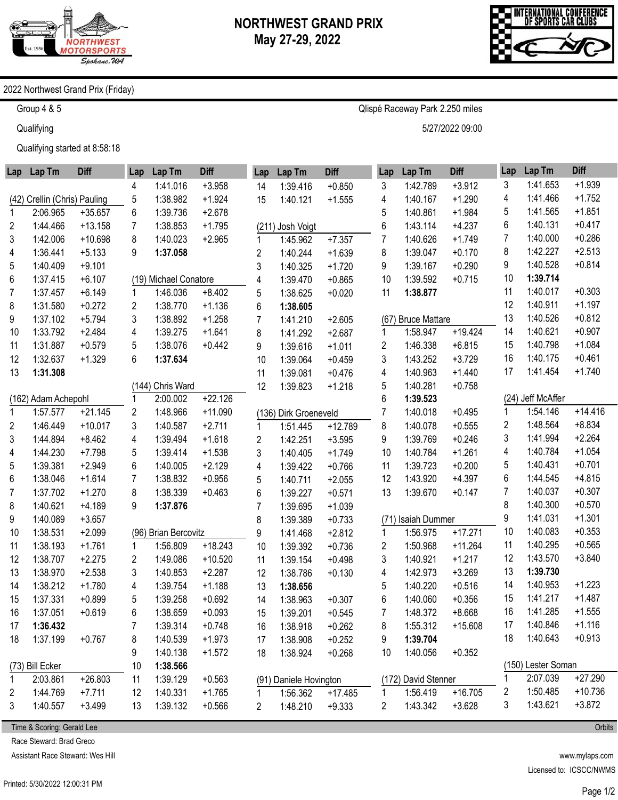

Qlispé Raceway Park 2.250 miles

5/27/2022 09:00



## 2022 Northwest Grand Prix (Friday)

Group 4 & 5

**Qualifying** 

Qualifying started at 8:58:18

| Lap          | Lap Tm                       | <b>Diff</b> | Lap | Lap Tm                | <b>Diff</b> | Lap            | Lap Tm                 | <b>Diff</b> | Lap | Lap Tm              | <b>Diff</b> | Lap | Lap Tm             | <b>Diff</b> |
|--------------|------------------------------|-------------|-----|-----------------------|-------------|----------------|------------------------|-------------|-----|---------------------|-------------|-----|--------------------|-------------|
|              |                              |             | 4   | 1:41.016              | $+3.958$    | 14             | 1:39.416               | $+0.850$    | 3   | 1:42.789            | $+3.912$    | 3   | 1:41.653           | $+1.939$    |
|              | (42) Crellin (Chris) Pauling |             | 5   | 1:38.982              | $+1.924$    | 15             | 1:40.121               | $+1.555$    | 4   | 1:40.167            | $+1.290$    | 4   | 1:41.466           | $+1.752$    |
| 1            | 2:06.965                     | $+35.657$   | 6   | 1:39.736              | $+2.678$    |                |                        |             | 5   | 1:40.861            | $+1.984$    | 5   | 1:41.565           | $+1.851$    |
| 2            | 1:44.466                     | $+13.158$   | 7   | 1:38.853              | $+1.795$    |                | (211) Josh Voigt       |             | 6   | 1:43.114            | $+4.237$    | 6   | 1:40.131           | $+0.417$    |
| 3            | 1:42.006                     | $+10.698$   | 8   | 1:40.023              | $+2.965$    | 1              | 1:45.962               | $+7.357$    | 7   | 1:40.626            | $+1.749$    | 7   | 1:40.000           | $+0.286$    |
| 4            | 1:36.441                     | $+5.133$    | 9   | 1:37.058              |             | $\overline{c}$ | 1:40.244               | $+1.639$    | 8   | 1:39.047            | $+0.170$    | 8   | 1:42.227           | $+2.513$    |
| 5            | 1:40.409                     | $+9.101$    |     |                       |             | 3              | 1:40.325               | $+1.720$    | 9   | 1:39.167            | $+0.290$    | 9   | 1:40.528           | $+0.814$    |
| 6            | 1:37.415                     | $+6.107$    |     | (19) Michael Conatore |             | 4              | 1:39.470               | $+0.865$    | 10  | 1:39.592            | $+0.715$    | 10  | 1:39.714           |             |
| 7            | 1:37.457                     | $+6.149$    | 1   | 1:46.036              | $+8.402$    | 5              | 1:38.625               | $+0.020$    | 11  | 1:38.877            |             | 11  | 1:40.017           | $+0.303$    |
| 8            | 1:31.580                     | $+0.272$    | 2   | 1:38.770              | $+1.136$    | 6              | 1:38.605               |             |     |                     |             | 12  | 1:40.911           | $+1.197$    |
| 9            | 1:37.102                     | $+5.794$    | 3   | 1:38.892              | $+1.258$    | $\overline{7}$ | 1:41.210               | $+2.605$    |     | (67) Bruce Mattare  |             | 13  | 1:40.526           | $+0.812$    |
| 10           | 1:33.792                     | $+2.484$    | 4   | 1:39.275              | $+1.641$    | 8              | 1:41.292               | $+2.687$    | 1   | 1:58.947            | $+19.424$   | 14  | 1:40.621           | $+0.907$    |
| 11           | 1:31.887                     | $+0.579$    | 5   | 1:38.076              | $+0.442$    | 9              | 1:39.616               | $+1.011$    | 2   | 1:46.338            | $+6.815$    | 15  | 1:40.798           | $+1.084$    |
| 12           | 1:32.637                     | $+1.329$    | 6   | 1:37.634              |             | 10             | 1:39.064               | $+0.459$    | 3   | 1:43.252            | $+3.729$    | 16  | 1:40.175           | $+0.461$    |
| 13           | 1:31.308                     |             |     |                       |             | 11             | 1:39.081               | $+0.476$    | 4   | 1:40.963            | $+1.440$    | 17  | 1:41.454           | $+1.740$    |
|              |                              |             |     | (144) Chris Ward      |             | 12             | 1:39.823               | $+1.218$    | 5   | 1:40.281            | $+0.758$    |     |                    |             |
|              | (162) Adam Achepohl          |             |     | 2:00.002              | $+22.126$   |                |                        |             | 6   | 1:39.523            |             |     | (24) Jeff McAffer  |             |
| $\mathbf{1}$ | 1:57.577                     | $+21.145$   | 2   | 1:48.966              | $+11.090$   |                | (136) Dirk Groeneveld  |             | 7   | 1:40.018            | $+0.495$    | 1   | 1:54.146           | $+14.416$   |
| 2            | 1:46.449                     | $+10.017$   | 3   | 1:40.587              | $+2.711$    | $\mathbf{1}$   | 1:51.445               | $+12.789$   | 8   | 1:40.078            | $+0.555$    | 2   | 1:48.564           | $+8.834$    |
| 3            | 1:44.894                     | $+8.462$    | 4   | 1:39.494              | $+1.618$    | $\overline{2}$ | 1:42.251               | $+3.595$    | 9   | 1:39.769            | $+0.246$    | 3   | 1:41.994           | $+2.264$    |
| 4            | 1:44.230                     | $+7.798$    | 5   | 1:39.414              | $+1.538$    | 3              | 1:40.405               | $+1.749$    | 10  | 1:40.784            | $+1.261$    | 4   | 1:40.784           | $+1.054$    |
| 5            | 1:39.381                     | $+2.949$    | 6   | 1:40.005              | $+2.129$    | 4              | 1:39.422               | $+0.766$    | 11  | 1:39.723            | $+0.200$    | 5   | 1:40.431           | $+0.701$    |
| 6            | 1:38.046                     | $+1.614$    | 7   | 1:38.832              | $+0.956$    | 5              | 1:40.711               | $+2.055$    | 12  | 1:43.920            | $+4.397$    | 6   | 1:44.545           | $+4.815$    |
| 7            | 1:37.702                     | $+1.270$    | 8   | 1:38.339              | $+0.463$    | 6              | 1:39.227               | $+0.571$    | 13  | 1:39.670            | $+0.147$    | 7   | 1:40.037           | $+0.307$    |
| 8            | 1:40.621                     | $+4.189$    | 9   | 1:37.876              |             | $\overline{7}$ | 1:39.695               | $+1.039$    |     |                     |             | 8   | 1:40.300           | $+0.570$    |
| 9            | 1:40.089                     | $+3.657$    |     |                       |             | 8              | 1:39.389               | $+0.733$    |     | (71) Isaiah Dummer  |             | 9   | 1:41.031           | $+1.301$    |
| 10           | 1:38.531                     | $+2.099$    |     | (96) Brian Bercovitz  |             | 9              | 1:41.468               | $+2.812$    | 1   | 1:56.975            | $+17.271$   | 10  | 1:40.083           | $+0.353$    |
| 11           | 1:38.193                     | $+1.761$    | 1   | 1:56.809              | $+18.243$   | 10             | 1:39.392               | $+0.736$    | 2   | 1:50.968            | $+11.264$   | 11  | 1:40.295           | $+0.565$    |
| 12           | 1:38.707                     | $+2.275$    | 2   | 1:49.086              | $+10.520$   | 11             | 1:39.154               | $+0.498$    | 3   | 1:40.921            | $+1.217$    | 12  | 1:43.570           | $+3.840$    |
| 13           | 1:38.970                     | $+2.538$    | 3   | 1:40.853              | $+2.287$    | 12             | 1:38.786               | $+0.130$    | 4   | 1:42.973            | $+3.269$    | 13  | 1:39.730           |             |
| 14           | 1:38.212                     | $+1.780$    | 4   | 1:39.754              | $+1.188$    | 13             | 1:38.656               |             | 5   | 1:40.220            | $+0.516$    | 14  | 1:40.953           | $+1.223$    |
| 15           | 1:37.331                     | $+0.899$    | 5   | 1:39.258              | $+0.692$    | 14             | 1:38.963               | $+0.307$    | 6   | 1:40.060            | $+0.356$    | 15  | 1:41.217           | $+1.487$    |
| 16           | 1:37.051                     | $+0.619$    | 6   | 1:38.659              | $+0.093$    | 15             | 1:39.201               | $+0.545$    | 7   | 1:48.372            | $+8.668$    | 16  | 1:41.285           | $+1.555$    |
| 17           | 1:36.432                     |             | 7   | 1:39.314              | $+0.748$    | 16             | 1:38.918               | $+0.262$    | 8   | 1:55.312            | $+15.608$   | 17  | 1:40.846           | $+1.116$    |
| 18           | 1:37.199                     | $+0.767$    | 8   | 1:40.539              | $+1.973$    | 17             | 1:38.908               | $+0.252$    | 9   | 1:39.704            |             | 18  | 1:40.643           | $+0.913$    |
|              |                              |             | 9   | 1:40.138              | $+1.572$    | 18             | 1:38.924               | $+0.268$    | 10  | 1:40.056            | $+0.352$    |     |                    |             |
|              | (73) Bill Ecker              |             | 10  | 1:38.566              |             |                |                        |             |     |                     |             |     | (150) Lester Soman |             |
| 1            | 2:03.861                     | $+26.803$   | 11  | 1:39.129              | $+0.563$    |                | (91) Daniele Hovington |             |     | (172) David Stenner |             |     | 2:07.039           | $+27.290$   |
| 2            | 1:44.769                     | $+7.711$    | 12  | 1:40.331              | $+1.765$    | 1              | 1:56.362               | $+17.485$   | 1   | 1:56.419            | $+16.705$   | 2   | 1:50.485           | $+10.736$   |
| 3            | 1:40.557                     | $+3.499$    | 13  | 1:39.132              | $+0.566$    | 2              | 1:48.210               | $+9.333$    | 2   | 1:43.342            | $+3.628$    | 3   | 1:43.621           | $+3.872$    |
|              |                              |             |     |                       |             |                |                        |             |     |                     |             |     |                    |             |

Time & Scoring: Gerald Lee

Race Steward: Brad Greco

Assistant Race Steward: Wes Hill

www.mylaps.com Licensed to: ICSCC/NWMS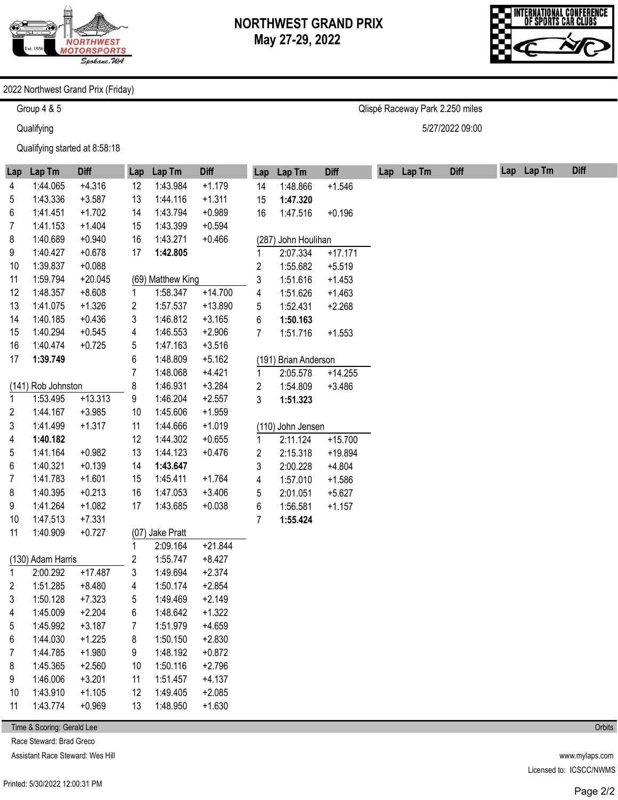

Qlispé Raceway Park 2.250 miles

5/27/2022 09:00



## 2022 Northwest Grand Prix (Friday)

Group 4 & 5

**Qualifying** 

Qualifying started at 8:58:18

| Lap | Lap Tm             | <b>Diff</b> | Lap            | Lap Tm            | <b>Diff</b> | Lap | Lap Tm               | <b>Diff</b> | Lap Lap Tm | <b>Diff</b> | Lap Lap Tm | <b>Diff</b> |
|-----|--------------------|-------------|----------------|-------------------|-------------|-----|----------------------|-------------|------------|-------------|------------|-------------|
| 4   | 1:44.065           | $+4.316$    | 12             | 1:43.984          | $+1.179$    | 14  | 1:48.866             | $+1.546$    |            |             |            |             |
| 5   | 1:43.336           | $+3.587$    | 13             | 1:44.116          | $+1.311$    | 15  | 1:47.320             |             |            |             |            |             |
| 6   | 1:41.451           | $+1.702$    | 14             | 1:43.794          | $+0.989$    | 16  | 1:47.516             | $+0.196$    |            |             |            |             |
| 7   | 1:41.153           | $+1.404$    | 15             | 1:43.399          | $+0.594$    |     |                      |             |            |             |            |             |
| 8   | 1:40.689           | $+0.940$    | 16             | 1:43.271          | $+0.466$    |     | (287) John Houlihan  |             |            |             |            |             |
| 9   | 1:40.427           | $+0.678$    | 17             | 1:42.805          |             | 1   | 2:07.334             | $+17.171$   |            |             |            |             |
| 10  | 1:39.837           | $+0.088$    |                |                   |             | 2   | 1:55.682             | $+5.519$    |            |             |            |             |
| 11  | 1:59.794           | $+20.045$   |                | (69) Matthew King |             | 3   | 1:51.616             | $+1.453$    |            |             |            |             |
| 12  | 1:48.357           | $+8.608$    | 1              | 1:58.347          | $+14.700$   | 4   | 1:51.626             | $+1.463$    |            |             |            |             |
| 13  | 1:41.075           | $+1.326$    | 2              | 1:57.537          | $+13.890$   | 5   | 1:52.431             | $+2.268$    |            |             |            |             |
| 14  | 1:40.185           | $+0.436$    | 3              | 1:46.812          | $+3.165$    | 6   | 1:50.163             |             |            |             |            |             |
| 15  | 1:40.294           | $+0.545$    | 4              | 1:46.553          | $+2.906$    | 7   | 1:51.716             | $+1.553$    |            |             |            |             |
| 16  | 1:40.474           | $+0.725$    | 5              | 1:47.163          | $+3.516$    |     |                      |             |            |             |            |             |
| 17  | 1:39.749           |             | 6              | 1:48.809          | $+5.162$    |     | (191) Brian Anderson |             |            |             |            |             |
|     |                    |             | $\overline{7}$ | 1:48.068          | $+4.421$    | 1   | 2:05.578             | $+14.255$   |            |             |            |             |
|     | (141) Rob Johnston |             | 8              | 1:46.931          | $+3.284$    | 2   | 1:54.809             | $+3.486$    |            |             |            |             |
| 1   | 1:53.495           | $+13.313$   | 9              | 1:46.204          | $+2.557$    | 3   | 1:51.323             |             |            |             |            |             |
| 2   | 1:44.167           | $+3.985$    | 10             | 1:45.606          | $+1.959$    |     |                      |             |            |             |            |             |
| 3   | 1:41.499           | $+1.317$    | 11             | 1:44.666          | $+1.019$    |     | (110) John Jensen    |             |            |             |            |             |
| 4   | 1:40.182           |             | 12             | 1:44.302          | $+0.655$    | 1   | 2:11.124             | $+15.700$   |            |             |            |             |
| 5   | 1:41.164           | $+0.982$    | 13             | 1:44.123          | $+0.476$    | 2   | 2:15.318             | $+19.894$   |            |             |            |             |
| 6   | 1:40.321           | $+0.139$    | 14             | 1:43.647          |             | 3   | 2:00.228             | $+4.804$    |            |             |            |             |
| 7   | 1:41.783           | $+1.601$    | 15             | 1:45.411          | $+1.764$    | 4   | 1:57.010             | $+1.586$    |            |             |            |             |
| 8   | 1:40.395           | $+0.213$    | 16             | 1:47.053          | $+3.406$    | 5   | 2:01.051             | $+5.627$    |            |             |            |             |
| 9   | 1:41.264           | $+1.082$    | 17             | 1:43.685          | $+0.038$    | 6   | 1:56.581             | $+1.157$    |            |             |            |             |
| 10  | 1:47.513           | $+7.331$    |                |                   |             | 7   | 1:55.424             |             |            |             |            |             |
| 11  | 1:40.909           | $+0.727$    |                | (07) Jake Pratt   |             |     |                      |             |            |             |            |             |
|     |                    |             | 1              | 2:09.164          | $+21.844$   |     |                      |             |            |             |            |             |
|     | (130) Adam Harris  |             | 2              | 1:55.747          | $+8.427$    |     |                      |             |            |             |            |             |
| 1   | 2:00.292           | $+17.487$   | 3              | 1:49.694          | $+2.374$    |     |                      |             |            |             |            |             |
| 2   | 1:51.285           | $+8.480$    | 4              | 1:50.174          | $+2.854$    |     |                      |             |            |             |            |             |
| 3   | 1:50.128           | $+7.323$    | 5              | 1:49.469          | $+2.149$    |     |                      |             |            |             |            |             |
| 4   | 1:45.009           | $+2.204$    | 6              | 1:48.642          | $+1.322$    |     |                      |             |            |             |            |             |
| 5   | 1:45.992           | $+3.187$    | 7              | 1:51.979          | $+4.659$    |     |                      |             |            |             |            |             |
| 6   | 1:44.030           | $+1.225$    | 8              | 1:50.150          | $+2.830$    |     |                      |             |            |             |            |             |
| 7   | 1:44.785           | $+1.980$    | 9              | 1:48.192          | $+0.872$    |     |                      |             |            |             |            |             |
| 8   | 1:45.365           | $+2.560$    | 10             | 1:50.116          | $+2.796$    |     |                      |             |            |             |            |             |
| 9   | 1:46.006           | $+3.201$    | 11             | 1:51.457          | $+4.137$    |     |                      |             |            |             |            |             |
| 10  | 1:43.910           | $+1.105$    | 12             | 1:49.405          | $+2.085$    |     |                      |             |            |             |            |             |
| 11  | 1:43.774           | $+0.969$    | 13             | 1:48.950          | $+1.630$    |     |                      |             |            |             |            |             |

Time & Scoring: Gerald Lee

Race Steward: Brad Greco

Assistant Race Steward: Wes Hill

**Orbits**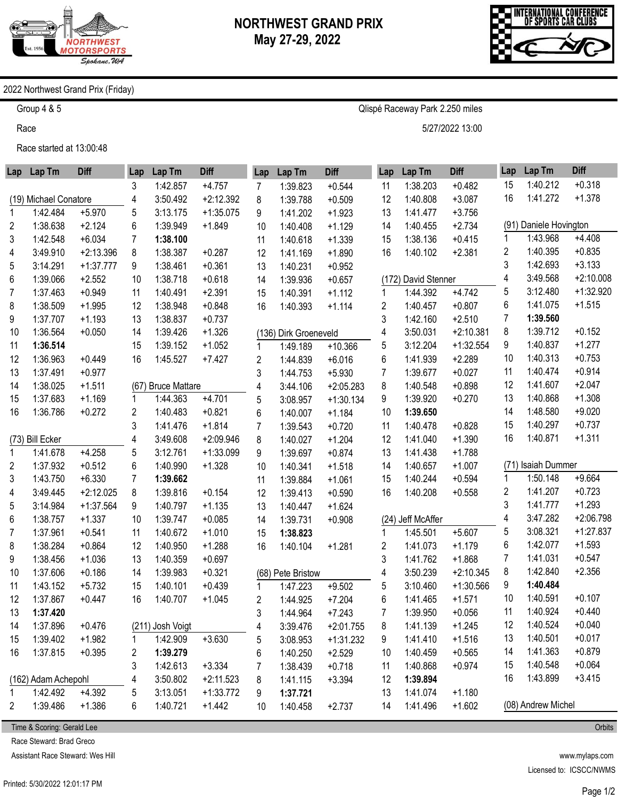

Qlispé Raceway Park 2.250 miles

5/27/2022 13:00



## 2022 Northwest Grand Prix (Friday)

Group 4 & 5

Race

Race started at 13:00:48

|             | Lap Lap Tm            | <b>Diff</b> | Lap  | Lap Tm               | <b>Diff</b> | Lap            | Lap Tm                | <b>Diff</b> | Lap | Lap Tm              | <b>Diff</b> | Lap | Lap Tm                 | <b>Diff</b> |
|-------------|-----------------------|-------------|------|----------------------|-------------|----------------|-----------------------|-------------|-----|---------------------|-------------|-----|------------------------|-------------|
|             |                       |             | 3    | 1:42.857             | $+4.757$    | 7              | 1:39.823              | $+0.544$    | 11  | 1:38.203            | $+0.482$    | 15  | 1:40.212               | $+0.318$    |
|             | (19) Michael Conatore |             | 4    | 3:50.492             | $+2:12.392$ | 8              | 1:39.788              | $+0.509$    | 12  | 1:40.808            | $+3.087$    | 16  | 1:41.272               | $+1.378$    |
| 1           | 1:42.484              | $+5.970$    | 5    | 3:13.175             | $+1:35.075$ | 9              | 1:41.202              | $+1.923$    | 13  | 1:41.477            | $+3.756$    |     |                        |             |
| 2           | 1:38.638              | $+2.124$    | 6    | 1:39.949             | $+1.849$    | 10             | 1:40.408              | $+1.129$    | 14  | 1:40.455            | $+2.734$    |     | (91) Daniele Hovington |             |
| 3           | 1:42.548              | $+6.034$    | 7    | 1:38.100             |             | 11             | 1:40.618              | $+1.339$    | 15  | 1:38.136            | $+0.415$    | 1   | 1:43.968               | $+4.408$    |
| 4           | 3:49.910              | $+2:13.396$ | 8    | 1:38.387             | $+0.287$    | 12             | 1:41.169              | $+1.890$    | 16  | 1:40.102            | $+2.381$    | 2   | 1:40.395               | $+0.835$    |
| 5           | 3:14.291              | $+1:37.777$ | 9    | 1:38.461             | $+0.361$    | 13             | 1:40.231              | $+0.952$    |     |                     |             | 3   | 1:42.693               | $+3.133$    |
| 6           | 1:39.066              | $+2.552$    | 10   | 1:38.718             | $+0.618$    | 14             | 1:39.936              | $+0.657$    |     | (172) David Stenner |             | 4   | 3:49.568               | $+2:10.008$ |
| 7           | 1:37.463              | $+0.949$    | 11   | 1:40.491             | $+2.391$    | 15             | 1:40.391              | $+1.112$    | 1   | 1:44.392            | $+4.742$    | 5   | 3:12.480               | $+1:32.920$ |
| 8           | 1:38.509              | $+1.995$    | 12   | 1:38.948             | $+0.848$    | 16             | 1:40.393              | $+1.114$    | 2   | 1:40.457            | $+0.807$    | 6   | 1:41.075               | $+1.515$    |
| 9           | 1:37.707              | $+1.193$    | 13   | 1:38.837             | $+0.737$    |                |                       |             | 3   | 1:42.160            | $+2.510$    | 7   | 1:39.560               |             |
| 10          | 1:36.564              | $+0.050$    | 14   | 1:39.426             | $+1.326$    |                | (136) Dirk Groeneveld |             | 4   | 3:50.031            | $+2:10.381$ | 8   | 1:39.712               | $+0.152$    |
| 11          | 1:36.514              |             | 15   | 1:39.152             | $+1.052$    | 1              | 1:49.189              | $+10.366$   | 5   | 3:12.204            | $+1:32.554$ | 9   | 1:40.837               | $+1.277$    |
| 12          | 1:36.963              | $+0.449$    | 16   | 1:45.527             | $+7.427$    | 2              | 1:44.839              | $+6.016$    | 6   | 1:41.939            | $+2.289$    | 10  | 1:40.313               | $+0.753$    |
| 13          | 1:37.491              | $+0.977$    |      |                      |             | 3              | 1:44.753              | $+5.930$    | 7   | 1:39.677            | $+0.027$    | 11  | 1:40.474               | $+0.914$    |
| 14          | 1:38.025              | $+1.511$    | (67) | <b>Bruce Mattare</b> |             | $\overline{4}$ | 3:44.106              | $+2:05.283$ | 8   | 1:40.548            | $+0.898$    | 12  | 1:41.607               | $+2.047$    |
| 15          | 1:37.683              | $+1.169$    | 1    | 1:44.363             | $+4.701$    | 5              | 3:08.957              | $+1:30.134$ | 9   | 1:39.920            | $+0.270$    | 13  | 1:40.868               | $+1.308$    |
| 16          | 1:36.786              | $+0.272$    | 2    | 1:40.483             | $+0.821$    | 6              | 1:40.007              | $+1.184$    | 10  | 1:39.650            |             | 14  | 1:48.580               | $+9.020$    |
|             |                       |             | 3    | 1:41.476             | $+1.814$    | 7              | 1:39.543              | $+0.720$    | 11  | 1:40.478            | $+0.828$    | 15  | 1:40.297               | $+0.737$    |
|             | (73) Bill Ecker       |             | 4    | 3:49.608             | $+2:09.946$ | 8              | 1:40.027              | $+1.204$    | 12  | 1:41.040            | $+1.390$    | 16  | 1:40.871               | $+1.311$    |
| 1           | 1:41.678              | $+4.258$    | 5    | 3:12.761             | $+1:33.099$ | 9              | 1:39.697              | $+0.874$    | 13  | 1:41.438            | $+1.788$    |     |                        |             |
| 2           | 1:37.932              | $+0.512$    | 6    | 1:40.990             | $+1.328$    | 10             | 1:40.341              | $+1.518$    | 14  | 1:40.657            | $+1.007$    |     | (71) Isaiah Dummer     |             |
| 3           | 1:43.750              | $+6.330$    | 7    | 1:39.662             |             | 11             | 1:39.884              | $+1.061$    | 15  | 1:40.244            | $+0.594$    | 1   | 1:50.148               | $+9.664$    |
| 4           | 3:49.445              | $+2:12.025$ | 8    | 1:39.816             | $+0.154$    | 12             | 1:39.413              | $+0.590$    | 16  | 1:40.208            | $+0.558$    | 2   | 1:41.207               | $+0.723$    |
| 5           | 3:14.984              | $+1:37.564$ | 9    | 1:40.797             | $+1.135$    | 13             | 1:40.447              | $+1.624$    |     |                     |             | 3   | 1:41.777               | $+1.293$    |
| 6           | 1:38.757              | $+1.337$    | 10   | 1:39.747             | $+0.085$    | 14             | 1:39.731              | $+0.908$    |     | (24) Jeff McAffer   |             | 4   | 3:47.282               | $+2:06.798$ |
| 7           | 1:37.961              | $+0.541$    | 11   | 1:40.672             | $+1.010$    | 15             | 1:38.823              |             | 1   | 1:45.501            | $+5.607$    | 5   | 3:08.321               | $+1:27.837$ |
| 8           | 1:38.284              | $+0.864$    | 12   | 1:40.950             | $+1.288$    | 16             | 1:40.104              | $+1.281$    | 2   | 1:41.073            | $+1.179$    | 6   | 1:42.077               | $+1.593$    |
| 9           | 1:38.456              | $+1.036$    | 13   | 1:40.359             | $+0.697$    |                |                       |             | 3   | 1:41.762            | $+1.868$    | 7   | 1:41.031               | $+0.547$    |
| 10          | 1:37.606              | $+0.186$    | 14   | 1:39.983             | $+0.321$    |                | (68) Pete Bristow     |             | 4   | 3:50.239            | $+2:10.345$ | 8   | 1:42.840               | $+2.356$    |
| 11          | 1:43.152              | $+5.732$    | 15   | 1:40.101             | $+0.439$    | 1              | 1:47.223              | $+9.502$    | 5   | 3:10.460            | $+1:30.566$ | 9   | 1:40.484               |             |
| 12          | 1:37.867              | $+0.447$    | 16   | 1:40.707             | $+1.045$    | 2              | 1:44.925              | $+7.204$    | 6   | 1:41.465            | $+1.571$    | 10  | 1:40.591               | $+0.107$    |
| 13          | 1:37.420              |             |      |                      |             | 3              | 1:44.964              | $+7.243$    | 7   | 1:39.950            | $+0.056$    | 11  | 1:40.924               | $+0.440$    |
| 14          | 1:37.896              | $+0.476$    |      | (211) Josh Voigt     |             | 4              | 3:39.476              | $+2:01.755$ | 8   | 1:41.139            | $+1.245$    | 12  | 1:40.524               | $+0.040$    |
| 15          | 1:39.402              | $+1.982$    |      | 1:42.909             | $+3.630$    | 5              | 3:08.953              | $+1:31.232$ | 9   | 1:41.410            | $+1.516$    | 13  | 1:40.501               | $+0.017$    |
| 16          | 1:37.815              | $+0.395$    | 2    | 1:39.279             |             | 6              | 1:40.250              | $+2.529$    | 10  | 1:40.459            | $+0.565$    | 14  | 1:41.363               | $+0.879$    |
|             |                       |             | 3    | 1:42.613             | $+3.334$    | 7              | 1:38.439              | $+0.718$    | 11  | 1:40.868            | $+0.974$    | 15  | 1:40.548               | $+0.064$    |
|             | (162) Adam Achepohl   |             | 4    | 3:50.802             | $+2:11.523$ | 8              | 1:41.115              | $+3.394$    | 12  | 1:39.894            |             | 16  | 1:43.899               | $+3.415$    |
| $\mathbf 1$ | 1:42.492              | $+4.392$    | 5    | 3:13.051             | $+1:33.772$ | 9              | 1:37.721              |             | 13  | 1:41.074            | $+1.180$    |     |                        |             |
| 2           | 1:39.486              | $+1.386$    | 6    | 1:40.721             | $+1.442$    | 10             | 1:40.458              | $+2.737$    | 14  | 1:41.496            | $+1.602$    |     | (08) Andrew Michel     |             |

Time & Scoring: Gerald Lee

Race Steward: Brad Greco

Assistant Race Steward: Wes Hill

www.mylaps.com Licensed to: ICSCC/NWMS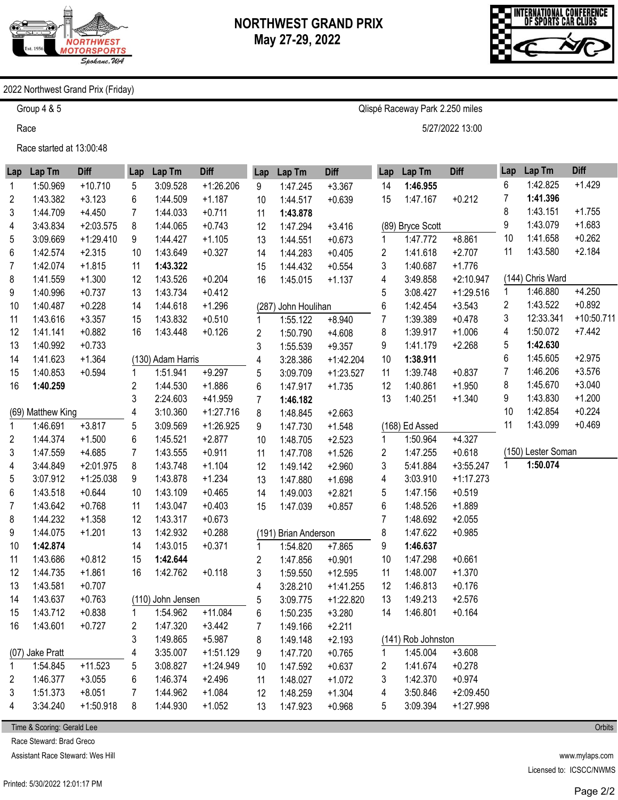

Qlispé Raceway Park 2.250 miles

5/27/2022 13:00



## 2022 Northwest Grand Prix (Friday)

Group 4 & 5

Race

Race started at 13:00:48

| Lap          | Lap Tm            | <b>Diff</b> | Lap            | Lap Tm            | <b>Diff</b> | Lap         | Lap Tm               | <b>Diff</b> | Lap | Lap Tm             | <b>Diff</b> | Lap | Lap Tm             | <b>Diff</b>  |
|--------------|-------------------|-------------|----------------|-------------------|-------------|-------------|----------------------|-------------|-----|--------------------|-------------|-----|--------------------|--------------|
| 1            | 1:50.969          | $+10.710$   | 5              | 3:09.528          | $+1.26.206$ | 9           | 1:47.245             | $+3.367$    | 14  | 1:46.955           |             | 6   | 1:42.825           | $+1.429$     |
| 2            | 1:43.382          | $+3.123$    | 6              | 1:44.509          | $+1.187$    | 10          | 1:44.517             | $+0.639$    | 15  | 1:47.167           | $+0.212$    | 7   | 1:41.396           |              |
| 3            | 1:44.709          | $+4.450$    | $\overline{7}$ | 1:44.033          | $+0.711$    | 11          | 1:43.878             |             |     |                    |             | 8   | 1:43.151           | $+1.755$     |
| 4            | 3:43.834          | $+2:03.575$ | 8              | 1:44.065          | $+0.743$    | 12          | 1:47.294             | $+3.416$    |     | (89) Bryce Scott   |             | 9   | 1:43.079           | $+1.683$     |
| 5            | 3:09.669          | $+1:29.410$ | 9              | 1:44.427          | $+1.105$    | 13          | 1:44.551             | $+0.673$    | 1   | 1:47.772           | $+8.861$    | 10  | 1:41.658           | $+0.262$     |
| 6            | 1:42.574          | $+2.315$    | 10             | 1:43.649          | $+0.327$    | 14          | 1:44.283             | $+0.405$    | 2   | 1:41.618           | $+2.707$    | 11  | 1:43.580           | $+2.184$     |
| 7            | 1:42.074          | $+1.815$    | 11             | 1:43.322          |             | 15          | 1:44.432             | $+0.554$    | 3   | 1:40.687           | $+1.776$    |     |                    |              |
| 8            | 1:41.559          | $+1.300$    | 12             | 1:43.526          | $+0.204$    | 16          | 1:45.015             | $+1.137$    | 4   | 3:49.858           | $+2:10.947$ |     | (144) Chris Ward   |              |
| 9            | 1:40.996          | $+0.737$    | 13             | 1:43.734          | $+0.412$    |             |                      |             | 5   | 3:08.427           | $+1:29.516$ | 1   | 1:46.880           | $+4.250$     |
| 10           | 1:40.487          | $+0.228$    | 14             | 1:44.618          | $+1.296$    |             | (287) John Houlihan  |             | 6   | 1:42.454           | $+3.543$    | 2   | 1:43.522           | $+0.892$     |
| 11           | 1:43.616          | $+3.357$    | 15             | 1:43.832          | $+0.510$    |             | 1:55.122             | $+8.940$    | 7   | 1:39.389           | $+0.478$    | 3   | 12:33.341          | $+10:50.711$ |
| 12           | 1:41.141          | $+0.882$    | 16             | 1:43.448          | $+0.126$    | 2           | 1:50.790             | $+4.608$    | 8   | 1:39.917           | $+1.006$    | 4   | 1:50.072           | $+7.442$     |
| 13           | 1:40.992          | $+0.733$    |                |                   |             | 3           | 1:55.539             | $+9.357$    | 9   | 1:41.179           | $+2.268$    | 5   | 1:42.630           |              |
| 14           | 1:41.623          | $+1.364$    |                | (130) Adam Harris |             | 4           | 3:28.386             | $+1:42.204$ | 10  | 1:38.911           |             | 6   | 1:45.605           | $+2.975$     |
| 15           | 1:40.853          | $+0.594$    |                | 1:51.941          | $+9.297$    | 5           | 3:09.709             | $+1:23.527$ | 11  | 1:39.748           | $+0.837$    | 7   | 1:46.206           | $+3.576$     |
| 16           | 1:40.259          |             | 2              | 1:44.530          | $+1.886$    | 6           | 1:47.917             | $+1.735$    | 12  | 1:40.861           | $+1.950$    | 8   | 1:45.670           | $+3.040$     |
|              |                   |             | 3              | 2:24.603          | +41.959     | 7           | 1:46.182             |             | 13  | 1:40.251           | $+1.340$    | 9   | 1:43.830           | $+1.200$     |
|              | (69) Matthew King |             | 4              | 3:10.360          | $+1:27.716$ | 8           | 1:48.845             | $+2.663$    |     |                    |             | 10  | 1:42.854           | $+0.224$     |
| $\mathbf{1}$ | 1:46.691          | $+3.817$    | 5              | 3:09.569          | $+1:26.925$ | 9           | 1:47.730             | $+1.548$    |     | (168) Ed Assed     |             | 11  | 1:43.099           | $+0.469$     |
| 2            | 1:44.374          | $+1.500$    | 6              | 1:45.521          | $+2.877$    | 10          | 1:48.705             | $+2.523$    | 1   | 1:50.964           | $+4.327$    |     |                    |              |
| 3            | 1:47.559          | $+4.685$    | $\overline{7}$ | 1:43.555          | $+0.911$    | 11          | 1:47.708             | $+1.526$    | 2   | 1:47.255           | $+0.618$    |     | (150) Lester Soman |              |
| 4            | 3:44.849          | $+2:01.975$ | 8              | 1:43.748          | $+1.104$    | 12          | 1:49.142             | $+2.960$    | 3   | 5:41.884           | $+3:55.247$ | 1   | 1:50.074           |              |
| 5            | 3:07.912          | $+1:25.038$ | 9              | 1:43.878          | $+1.234$    | 13          | 1:47.880             | $+1.698$    | 4   | 3:03.910           | $+1:17.273$ |     |                    |              |
| 6            | 1:43.518          | $+0.644$    | 10             | 1:43.109          | $+0.465$    | 14          | 1:49.003             | $+2.821$    | 5   | 1:47.156           | $+0.519$    |     |                    |              |
| 7            | 1:43.642          | $+0.768$    | 11             | 1:43.047          | $+0.403$    | 15          | 1:47.039             | $+0.857$    | 6   | 1:48.526           | $+1.889$    |     |                    |              |
| 8            | 1:44.232          | $+1.358$    | 12             | 1:43.317          | $+0.673$    |             |                      |             | 7   | 1:48.692           | $+2.055$    |     |                    |              |
| 9            | 1:44.075          | $+1.201$    | 13             | 1:42.932          | $+0.288$    |             | (191) Brian Anderson |             | 8   | 1:47.622           | $+0.985$    |     |                    |              |
| 10           | 1:42.874          |             | 14             | 1:43.015          | $+0.371$    | $\mathbf 1$ | 1:54.820             | $+7.865$    | 9   | 1:46.637           |             |     |                    |              |
| 11           | 1:43.686          | $+0.812$    | 15             | 1:42.644          |             | 2           | 1:47.856             | $+0.901$    | 10  | 1:47.298           | $+0.661$    |     |                    |              |
| 12           | 1:44.735          | $+1.861$    | 16             | 1:42.762          | $+0.118$    | 3           | 1:59.550             | $+12.595$   | 11  | 1:48.007           | $+1.370$    |     |                    |              |
| 13           | 1:43.581          | $+0.707$    |                |                   |             | 4           | 3:28.210             | $+1:41.255$ | 12  | 1:46.813           | $+0.176$    |     |                    |              |
| 14           | 1:43.637          | $+0.763$    |                | (110) John Jensen |             | 5           | 3:09.775             | $+1:22.820$ | 13  | 1:49.213           | $+2.576$    |     |                    |              |
| 15           | 1:43.712          | $+0.838$    | 1.             | 1:54.962          | $+11.084$   | 6           | 1:50.235             | $+3.280$    | 14  | 1:46.801           | $+0.164$    |     |                    |              |
| 16           | 1:43.601          | $+0.727$    | 2              | 1:47.320          | $+3.442$    | 7           | 1:49.166             | $+2.211$    |     |                    |             |     |                    |              |
|              |                   |             | 3              | 1:49.865          | $+5.987$    | 8           | 1:49.148             | $+2.193$    |     | (141) Rob Johnston |             |     |                    |              |
|              | (07) Jake Pratt   |             | 4              | 3:35.007          | $+1:51.129$ | 9           | 1:47.720             | $+0.765$    | 1   | 1:45.004           | $+3.608$    |     |                    |              |
| 1            | 1:54.845          | $+11.523$   | 5              | 3:08.827          | $+1:24.949$ | 10          | 1:47.592             | $+0.637$    | 2   | 1:41.674           | $+0.278$    |     |                    |              |
| 2            | 1:46.377          | $+3.055$    | 6              | 1:46.374          | $+2.496$    | 11          | 1:48.027             | $+1.072$    | 3   | 1:42.370           | $+0.974$    |     |                    |              |
| 3            | 1:51.373          | $+8.051$    | 7              | 1:44.962          | $+1.084$    | 12          | 1:48.259             | $+1.304$    | 4   | 3:50.846           | $+2:09.450$ |     |                    |              |
| 4            | 3:34.240          | $+1:50.918$ | 8              | 1:44.930          | $+1.052$    | 13          | 1:47.923             | $+0.968$    | 5   | 3:09.394           | $+1:27.998$ |     |                    |              |
|              |                   |             |                |                   |             |             |                      |             |     |                    |             |     |                    |              |

Time & Scoring: Gerald Lee

Race Steward: Brad Greco

Assistant Race Steward: Wes Hill

www.mylaps.com Licensed to: ICSCC/NWMS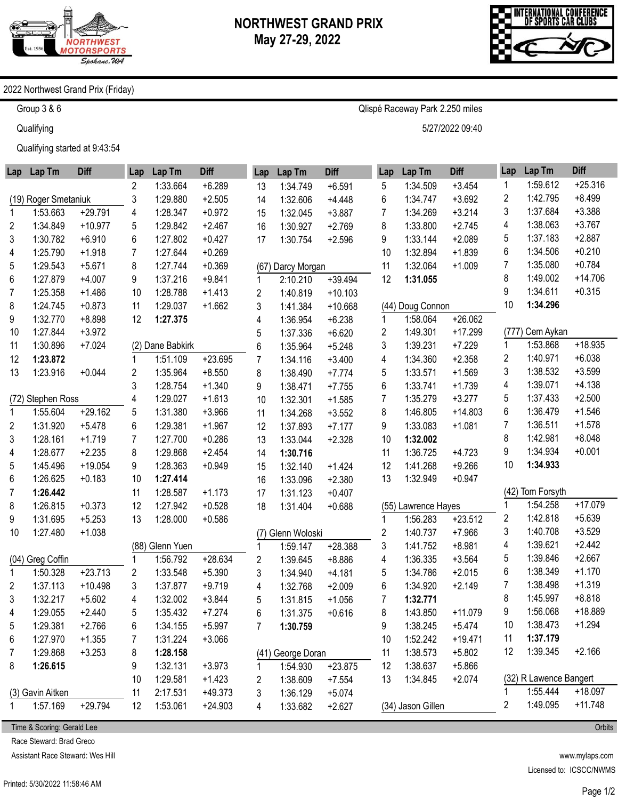

Qlispé Raceway Park 2.250 miles

5/27/2022 09:40



## 2022 Northwest Grand Prix (Friday)

Group 3 & 6

**Qualifying** 

Qualifying started at 9:43:54

| Lap         | Lap Tm               | <b>Diff</b> | Lap | Lap Tm           | <b>Diff</b> | Lap            | Lap Tm            | <b>Diff</b> | Lap | Lap Tm              | <b>Diff</b> | Lap              | Lap Tm                             | <b>Diff</b> |
|-------------|----------------------|-------------|-----|------------------|-------------|----------------|-------------------|-------------|-----|---------------------|-------------|------------------|------------------------------------|-------------|
|             |                      |             | 2   | 1:33.664         | $+6.289$    | 13             | 1:34.749          | $+6.591$    | 5   | 1:34.509            | $+3.454$    | 1                | 1:59.612                           | $+25.316$   |
|             | (19) Roger Smetaniuk |             | 3   | 1:29.880         | $+2.505$    | 14             | 1:32.606          | $+4.448$    | 6   | 1:34.747            | $+3.692$    | 2                | 1:42.795                           | $+8.499$    |
| 1           | 1:53.663             | $+29.791$   | 4   | 1:28.347         | $+0.972$    | 15             | 1:32.045          | $+3.887$    | 7   | 1:34.269            | $+3.214$    | 3                | 1:37.684                           | $+3.388$    |
| 2           | 1:34.849             | $+10.977$   | 5   | 1:29.842         | $+2.467$    | 16             | 1:30.927          | $+2.769$    | 8   | 1:33.800            | $+2.745$    | 4                | 1:38.063                           | $+3.767$    |
| 3           | 1:30.782             | $+6.910$    | 6   | 1:27.802         | $+0.427$    | 17             | 1:30.754          | $+2.596$    | 9   | 1:33.144            | $+2.089$    | 5                | 1:37.183                           | $+2.887$    |
| 4           | 1:25.790             | $+1.918$    | 7   | 1:27.644         | $+0.269$    |                |                   |             | 10  | 1:32.894            | $+1.839$    | 6                | 1:34.506                           | $+0.210$    |
| 5           | 1:29.543             | $+5.671$    | 8   | 1:27.744         | $+0.369$    |                | (67) Darcy Morgan |             | 11  | 1:32.064            | $+1.009$    | 7                | 1:35.080                           | $+0.784$    |
| 6           | 1:27.879             | $+4.007$    | 9   | 1:37.216         | $+9.841$    | 1              | 2:10.210          | $+39.494$   | 12  | 1:31.055            |             | 8                | 1:49.002                           | $+14.706$   |
| 7           | 1:25.358             | $+1.486$    | 10  | 1:28.788         | $+1.413$    | 2              | 1:40.819          | $+10.103$   |     |                     |             | 9                | 1:34.611                           | $+0.315$    |
| 8           | 1:24.745             | $+0.873$    | 11  | 1:29.037         | $+1.662$    | 3              | 1:41.384          | $+10.668$   |     | (44) Doug Connon    |             | 10               | 1:34.296                           |             |
| 9           | 1:32.770             | $+8.898$    | 12  | 1:27.375         |             | 4              | 1:36.954          | $+6.238$    | 1   | 1:58.064            | $+26.062$   |                  |                                    |             |
| 10          | 1:27.844             | $+3.972$    |     |                  |             | 5              | 1:37.336          | $+6.620$    | 2   | 1:49.301            | $+17.299$   |                  | (777) Cem Aykan                    |             |
| 11          | 1:30.896             | $+7.024$    |     | (2) Dane Babkirk |             | 6              | 1:35.964          | $+5.248$    | 3   | 1:39.231            | $+7.229$    | 1                | 1:53.868                           | +18.935     |
| 12          | 1:23.872             |             |     | 1:51.109         | $+23.695$   | 7              | 1:34.116          | $+3.400$    | 4   | 1:34.360            | $+2.358$    | 2                | 1:40.971                           | $+6.038$    |
| 13          | 1:23.916             | $+0.044$    | 2   | 1:35.964         | $+8.550$    | 8              | 1:38.490          | $+7.774$    | 5   | 1:33.571            | $+1.569$    | 3                | 1:38.532                           | $+3.599$    |
|             |                      |             | 3   | 1:28.754         | $+1.340$    | 9              | 1:38.471          | $+7.755$    | 6   | 1:33.741            | $+1.739$    | 4                | 1:39.071                           | $+4.138$    |
|             | (72) Stephen Ross    |             | 4   | 1:29.027         | $+1.613$    | 10             | 1:32.301          | $+1.585$    | 7   | 1:35.279            | $+3.277$    | 5                | 1:37.433                           | $+2.500$    |
| $\mathbf 1$ | 1:55.604             | $+29.162$   | 5   | 1:31.380         | $+3.966$    | 11             | 1:34.268          | $+3.552$    | 8   | 1:46.805            | $+14.803$   | 6                | 1:36.479                           | $+1.546$    |
| 2           | 1:31.920             | $+5.478$    | 6   | 1:29.381         | $+1.967$    | 12             | 1:37.893          | $+7.177$    | 9   | 1:33.083            | $+1.081$    | 7                | 1:36.511                           | $+1.578$    |
| 3           | 1:28.161             | $+1.719$    | 7   | 1:27.700         | $+0.286$    | 13             | 1:33.044          | $+2.328$    | 10  | 1:32.002            |             | 8                | 1:42.981                           | $+8.048$    |
| 4           | 1:28.677             | $+2.235$    | 8   | 1:29.868         | $+2.454$    | 14             | 1:30.716          |             | 11  | 1:36.725            | $+4.723$    | 9                | 1:34.934                           | $+0.001$    |
| 5           | 1:45.496             | $+19.054$   | 9   | 1:28.363         | $+0.949$    | 15             | 1:32.140          | $+1.424$    | 12  | 1:41.268            | $+9.266$    | 10               | 1:34.933                           |             |
| 6           | 1:26.625             | $+0.183$    | 10  | 1:27.414         |             | 16             | 1:33.096          | $+2.380$    | 13  | 1:32.949            | $+0.947$    |                  |                                    |             |
| 7           | 1:26.442             |             | 11  | 1:28.587         | $+1.173$    | 17             | 1:31.123          | $+0.407$    |     |                     |             |                  | (42) Tom Forsyth                   |             |
| 8           | 1:26.815             | $+0.373$    | 12  | 1:27.942         | $+0.528$    | 18             | 1:31.404          | $+0.688$    |     | (55) Lawrence Hayes |             | 1                | 1:54.258                           | $+17.079$   |
| 9           | 1:31.695             | $+5.253$    | 13  | 1:28.000         | $+0.586$    |                |                   |             | 1   | 1:56.283            | $+23.512$   | 2                | 1:42.818                           | $+5.639$    |
| 10          | 1:27.480             | $+1.038$    |     |                  |             | (7)            | Glenn Woloski     |             | 2   | 1:40.737            | $+7.966$    | 3                | 1:40.708                           | $+3.529$    |
|             |                      |             |     | (88) Glenn Yuen  |             | 1              | 1:59.147          | $+28.388$   | 3   | 1:41.752            | $+8.981$    | 4                | 1:39.621                           | $+2.442$    |
|             | (04) Greg Coffin     |             |     | 1:56.792         | $+28.634$   | 2              | 1:39.645          | $+8.886$    | 4   | 1:36.335            | $+3.564$    | 5                | 1:39.846                           | $+2.667$    |
| 1           | 1:50.328             | $+23.713$   | 2   | 1:33.548         | $+5.390$    | 3              | 1:34.940          | $+4.181$    | 5   | 1:34.786            | $+2.015$    | 6                | 1:38.349                           | $+1.170$    |
| 2           | 1:37.113             | $+10.498$   | 3   | 1:37.877         | $+9.719$    | 4              | 1:32.768          | $+2.009$    | 6   | 1:34.920            | $+2.149$    | 7                | 1:38.498                           | $+1.319$    |
| 3           | 1:32.217             | $+5.602$    | 4   | 1:32.002         | $+3.844$    | 5              | 1:31.815          | $+1.056$    | 7   | 1:32.771            |             | 8                | 1:45.997                           | $+8.818$    |
| 4           | 1:29.055             | $+2.440$    | 5   | 1:35.432         | $+7.274$    | 6              | 1:31.375          | $+0.616$    | 8   | 1:43.850            | $+11.079$   | 9                | 1:56.068                           | +18.889     |
| 5           | 1:29.381             | $+2.766$    | 6   | 1:34.155         | $+5.997$    | $\overline{7}$ | 1:30.759          |             | 9   | 1:38.245            | $+5.474$    | 10               | 1:38.473                           | $+1.294$    |
| 6           | 1:27.970             | $+1.355$    | 7   | 1:31.224         | $+3.066$    |                |                   |             | 10  | 1:52.242            | $+19.471$   | 11               | 1:37.179                           |             |
| 7           | 1:29.868             | $+3.253$    | 8   | 1:28.158         |             |                | (41) George Doran |             | 11  | 1:38.573            | $+5.802$    | 12               | 1:39.345                           | $+2.166$    |
| 8           | 1:26.615             |             | 9   | 1:32.131         | $+3.973$    | 1              | 1:54.930          | $+23.875$   | 12  | 1:38.637            | $+5.866$    |                  |                                    |             |
|             |                      |             | 10  | 1:29.581         | $+1.423$    | 2              | 1:38.609          | $+7.554$    | 13  | 1:34.845            | $+2.074$    | 1                | (32) R Lawence Bangert<br>1:55.444 | $+18.097$   |
|             | (3) Gavin Aitken     |             | 11  | 2:17.531         | $+49.373$   | 3              | 1:36.129          | $+5.074$    |     |                     |             | $\boldsymbol{2}$ | 1:49.095                           | $+11.748$   |
|             | 1:57.169             | $+29.794$   | 12  | 1:53.061         | $+24.903$   | 4              | 1:33.682          | $+2.627$    |     | (34) Jason Gillen   |             |                  |                                    |             |

Time & Scoring: Gerald Lee

Race Steward: Brad Greco

Assistant Race Steward: Wes Hill

www.mylaps.com Licensed to: ICSCC/NWMS

Page 1/2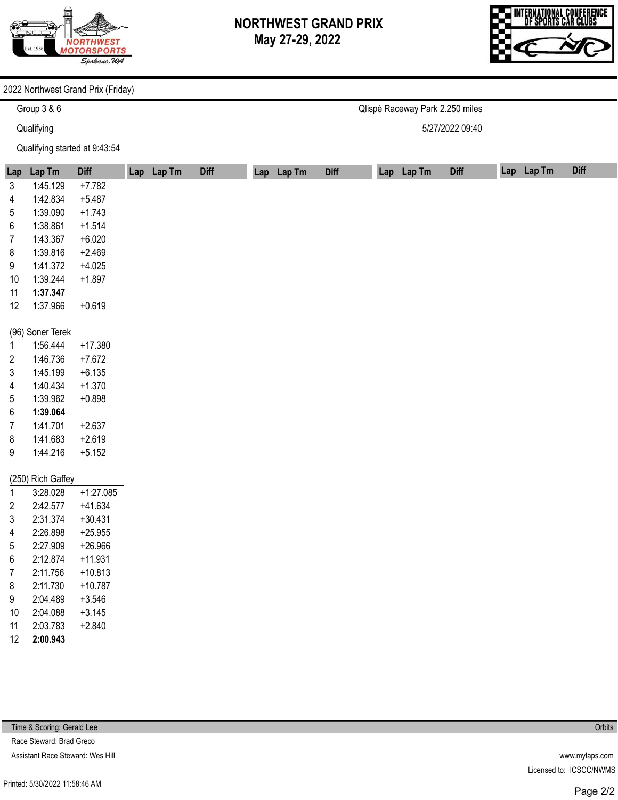

Qlispé Raceway Park 2.250 miles

5/27/2022 09:40

INTERNATIONAL CONFERENCE<br>Of Sports Car Clubs

## 2022 Northwest Grand Prix (Friday)

Group 3 & 6

**Qualifying** 

Qualifying started at 9:43:54

|                         |                      | Qualifying started at 9:43:54 |            |             |            |             |            |             |            |             |
|-------------------------|----------------------|-------------------------------|------------|-------------|------------|-------------|------------|-------------|------------|-------------|
| Lap                     | Lap Tm               | <b>Diff</b>                   | Lap Lap Tm | <b>Diff</b> | Lap Lap Tm | <b>Diff</b> | Lap Lap Tm | <b>Diff</b> | Lap Lap Tm | <b>Diff</b> |
| 3                       | 1:45.129             | $+7.782$                      |            |             |            |             |            |             |            |             |
| 4                       | 1:42.834             | $+5.487$                      |            |             |            |             |            |             |            |             |
| 5                       | 1:39.090             | $+1.743$                      |            |             |            |             |            |             |            |             |
| 6                       | 1:38.861             | $+1.514$                      |            |             |            |             |            |             |            |             |
| 7                       | 1:43.367             | $+6.020$                      |            |             |            |             |            |             |            |             |
| 8                       | 1:39.816             | $+2.469$                      |            |             |            |             |            |             |            |             |
| 9                       | 1:41.372             | $+4.025$                      |            |             |            |             |            |             |            |             |
| 10                      | 1:39.244             | $+1.897$                      |            |             |            |             |            |             |            |             |
| 11                      | 1:37.347             |                               |            |             |            |             |            |             |            |             |
| 12                      | 1:37.966             | $+0.619$                      |            |             |            |             |            |             |            |             |
|                         |                      |                               |            |             |            |             |            |             |            |             |
|                         | (96) Soner Terek     |                               |            |             |            |             |            |             |            |             |
| $\mathbf{1}$            | 1:56.444             | $+17.380$                     |            |             |            |             |            |             |            |             |
| $\overline{\mathbf{c}}$ | 1:46.736             | $+7.672$                      |            |             |            |             |            |             |            |             |
| 3                       | 1:45.199             | $+6.135$                      |            |             |            |             |            |             |            |             |
| 4                       | 1:40.434             | $+1.370$                      |            |             |            |             |            |             |            |             |
| 5                       | 1:39.962             | $+0.898$                      |            |             |            |             |            |             |            |             |
| 6                       | 1:39.064             |                               |            |             |            |             |            |             |            |             |
| 7                       | 1:41.701             | $+2.637$                      |            |             |            |             |            |             |            |             |
| 8                       | 1:41.683             | $+2.619$                      |            |             |            |             |            |             |            |             |
| 9                       | 1:44.216             | $+5.152$                      |            |             |            |             |            |             |            |             |
|                         |                      |                               |            |             |            |             |            |             |            |             |
|                         | (250) Rich Gaffey    |                               |            |             |            |             |            |             |            |             |
| $\mathbf{1}$            | 3:28.028             | $+1:27.085$                   |            |             |            |             |            |             |            |             |
| $\overline{\mathbf{c}}$ | 2:42.577             | $+41.634$                     |            |             |            |             |            |             |            |             |
| 3                       | 2:31.374<br>2:26.898 | $+30.431$                     |            |             |            |             |            |             |            |             |
| 4                       |                      | $+25.955$                     |            |             |            |             |            |             |            |             |
| 5                       | 2:27.909             | $+26.966$<br>$+11.931$        |            |             |            |             |            |             |            |             |
| 6                       | 2:12.874             |                               |            |             |            |             |            |             |            |             |
| 7                       | 2:11.756             | $+10.813$                     |            |             |            |             |            |             |            |             |
| 8                       | 2:11.730             | $+10.787$                     |            |             |            |             |            |             |            |             |
| 9                       | 2:04.489             | $+3.546$                      |            |             |            |             |            |             |            |             |
| $10$                    | 2:04.088             | $+3.145$                      |            |             |            |             |            |             |            |             |
| 11                      | 2:03.783             | $+2.840$                      |            |             |            |             |            |             |            |             |
| 12                      | 2:00.943             |                               |            |             |            |             |            |             |            |             |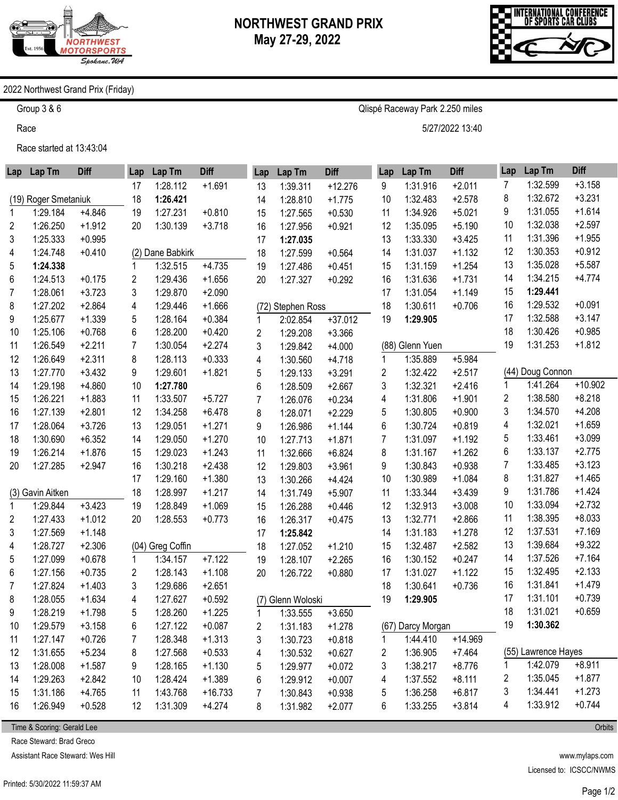

Qlispé Raceway Park 2.250 miles

5/27/2022 13:40



## 2022 Northwest Grand Prix (Friday)

Group 3 & 6

Race

Race started at 13:43:04

|                      | Lap Lap Tm       | <b>Diff</b> | Lap | Lap Tm           | <b>Diff</b> | Lap            | Lap Tm            | <b>Diff</b> | Lap            | Lap Tm            | <b>Diff</b> | Lap | Lap Tm              | <b>Diff</b> |
|----------------------|------------------|-------------|-----|------------------|-------------|----------------|-------------------|-------------|----------------|-------------------|-------------|-----|---------------------|-------------|
|                      |                  |             | 17  | 1:28.112         | $+1.691$    | 13             | 1:39.311          | $+12.276$   | 9              | 1:31.916          | $+2.011$    | 7   | 1:32.599            | $+3.158$    |
| (19) Roger Smetaniuk |                  |             | 18  | 1:26.421         |             | 14             | 1:28.810          | $+1.775$    | 10             | 1:32.483          | $+2.578$    | 8   | 1:32.672            | $+3.231$    |
| 1                    | 1:29.184         | $+4.846$    | 19  | 1:27.231         | $+0.810$    | 15             | 1:27.565          | $+0.530$    | 11             | 1:34.926          | $+5.021$    | 9   | 1:31.055            | $+1.614$    |
| $\overline{c}$       | 1:26.250         | $+1.912$    | 20  | 1:30.139         | $+3.718$    | 16             | 1:27.956          | $+0.921$    | 12             | 1:35.095          | $+5.190$    | 10  | 1:32.038            | $+2.597$    |
| 3                    | 1:25.333         | $+0.995$    |     |                  |             | 17             | 1:27.035          |             | 13             | 1:33.330          | $+3.425$    | 11  | 1:31.396            | $+1.955$    |
| 4                    | 1:24.748         | $+0.410$    |     | (2) Dane Babkirk |             | 18             | 1:27.599          | $+0.564$    | 14             | 1:31.037          | $+1.132$    | 12  | 1:30.353            | $+0.912$    |
| 5                    | 1:24.338         |             |     | 1:32.515         | $+4.735$    | 19             | 1:27.486          | $+0.451$    | 15             | 1:31.159          | $+1.254$    | 13  | 1:35.028            | $+5.587$    |
| 6                    | 1:24.513         | $+0.175$    | 2   | 1:29.436         | $+1.656$    | 20             | 1:27.327          | $+0.292$    | 16             | 1:31.636          | $+1.731$    | 14  | 1:34.215            | $+4.774$    |
| 7                    | 1:28.061         | $+3.723$    | 3   | 1:29.870         | $+2.090$    |                |                   |             | 17             | 1:31.054          | $+1.149$    | 15  | 1:29.441            |             |
| 8                    | 1:27.202         | $+2.864$    | 4   | 1:29.446         | $+1.666$    |                | (72) Stephen Ross |             | 18             | 1:30.611          | $+0.706$    | 16  | 1:29.532            | $+0.091$    |
| 9                    | 1:25.677         | $+1.339$    | 5   | 1:28.164         | $+0.384$    | 1              | 2:02.854          | $+37.012$   | 19             | 1:29.905          |             | 17  | 1:32.588            | $+3.147$    |
| 10                   | 1:25.106         | $+0.768$    | 6   | 1:28.200         | $+0.420$    | $\overline{2}$ | 1:29.208          | $+3.366$    |                |                   |             | 18  | 1:30.426            | $+0.985$    |
| 11                   | 1:26.549         | $+2.211$    | 7   | 1:30.054         | $+2.274$    | 3              | 1:29.842          | $+4.000$    |                | (88) Glenn Yuen   |             | 19  | 1:31.253            | $+1.812$    |
| 12                   | 1:26.649         | $+2.311$    | 8   | 1:28.113         | $+0.333$    | 4              | 1:30.560          | $+4.718$    | 1              | 1:35.889          | $+5.984$    |     |                     |             |
| 13                   | 1:27.770         | $+3.432$    | 9   | 1:29.601         | $+1.821$    | 5              | 1:29.133          | $+3.291$    | $\overline{c}$ | 1:32.422          | $+2.517$    |     | (44) Doug Connon    |             |
| 14                   | 1:29.198         | $+4.860$    | 10  | 1:27.780         |             | 6              | 1:28.509          | $+2.667$    | 3              | 1:32.321          | $+2.416$    |     | 1:41.264            | $+10.902$   |
| 15                   | 1:26.221         | $+1.883$    | 11  | 1:33.507         | $+5.727$    | $\overline{7}$ | 1:26.076          | $+0.234$    | 4              | 1:31.806          | $+1.901$    | 2   | 1:38.580            | $+8.218$    |
| 16                   | 1:27.139         | $+2.801$    | 12  | 1:34.258         | $+6.478$    | 8              | 1:28.071          | $+2.229$    | 5              | 1:30.805          | $+0.900$    | 3   | 1:34.570            | $+4.208$    |
| 17                   | 1:28.064         | $+3.726$    | 13  | 1:29.051         | $+1.271$    | 9              | 1:26.986          | $+1.144$    | 6              | 1:30.724          | $+0.819$    | 4   | 1:32.021            | $+1.659$    |
| 18                   | 1:30.690         | $+6.352$    | 14  | 1:29.050         | $+1.270$    | 10             | 1:27.713          | $+1.871$    | 7              | 1:31.097          | $+1.192$    | 5   | 1:33.461            | $+3.099$    |
| 19                   | 1:26.214         | $+1.876$    | 15  | 1:29.023         | $+1.243$    | 11             | 1:32.666          | $+6.824$    | 8              | 1:31.167          | $+1.262$    | 6   | 1:33.137            | $+2.775$    |
| 20                   | 1:27.285         | $+2.947$    | 16  | 1:30.218         | $+2.438$    | 12             | 1:29.803          | $+3.961$    | 9              | 1:30.843          | $+0.938$    | 7   | 1:33.485            | $+3.123$    |
|                      |                  |             | 17  | 1:29.160         | $+1.380$    | 13             | 1:30.266          | $+4.424$    | 10             | 1:30.989          | $+1.084$    | 8   | 1:31.827            | $+1.465$    |
|                      | (3) Gavin Aitken |             | 18  | 1:28.997         | $+1.217$    | 14             | 1:31.749          | $+5.907$    | 11             | 1:33.344          | $+3.439$    | 9   | 1:31.786            | $+1.424$    |
| 1                    | 1:29.844         | $+3.423$    | 19  | 1:28.849         | $+1.069$    | 15             | 1:26.288          | $+0.446$    | 12             | 1:32.913          | $+3.008$    | 10  | 1:33.094            | $+2.732$    |
| 2                    | 1:27.433         | $+1.012$    | 20  | 1:28.553         | $+0.773$    | 16             | 1:26.317          | $+0.475$    | 13             | 1:32.771          | $+2.866$    | 11  | 1:38.395            | $+8.033$    |
| 3                    | 1:27.569         | $+1.148$    |     |                  |             | 17             | 1:25.842          |             | 14             | 1:31.183          | $+1.278$    | 12  | 1:37.531            | $+7.169$    |
| 4                    | 1:28.727         | $+2.306$    |     | (04) Greg Coffin |             | 18             | 1:27.052          | $+1.210$    | 15             | 1:32.487          | $+2.582$    | 13  | 1:39.684            | $+9.322$    |
| 5                    | 1:27.099         | $+0.678$    | 1   | 1:34.157         | $+7.122$    | 19             | 1:28.107          | $+2.265$    | 16             | 1:30.152          | $+0.247$    | 14  | 1:37.526            | $+7.164$    |
| 6                    | 1:27.156         | $+0.735$    | 2   | 1:28.143         | $+1.108$    | 20             | 1:26.722          | $+0.880$    | 17             | 1:31.027          | $+1.122$    | 15  | 1:32.495            | $+2.133$    |
| 7                    | 1:27.824         | $+1.403$    | 3   | 1:29.686         | $+2.651$    |                |                   |             | 18             | 1:30.641          | $+0.736$    | 16  | 1:31.841            | $+1.479$    |
| 8                    | 1:28.055         | $+1.634$    | 4   | 1:27.627         | $+0.592$    | (7)            | Glenn Woloski     |             | 19             | 1:29.905          |             | 17  | 1:31.101            | $+0.739$    |
| 9                    | 1:28.219         | $+1.798$    | 5   | 1:28.260         | $+1.225$    | 1              | 1:33.555          | $+3.650$    |                |                   |             | 18  | 1:31.021            | $+0.659$    |
| 10                   | 1:29.579         | $+3.158$    | 6   | 1:27.122         | $+0.087$    | 2              | 1:31.183          | $+1.278$    |                | (67) Darcy Morgan |             | 19  | 1:30.362            |             |
| 11                   | 1:27.147         | $+0.726$    | 7   | 1:28.348         | $+1.313$    | 3              | 1:30.723          | $+0.818$    | 1              | 1:44.410          | $+14.969$   |     |                     |             |
| 12                   | 1:31.655         | $+5.234$    | 8   | 1:27.568         | $+0.533$    | 4              | 1:30.532          | $+0.627$    | 2              | 1:36.905          | $+7.464$    |     | (55) Lawrence Hayes |             |
| 13                   | 1:28.008         | $+1.587$    | 9   | 1:28.165         | $+1.130$    | 5              | 1:29.977          | $+0.072$    | 3              | 1:38.217          | $+8.776$    | 1   | 1:42.079            | $+8.911$    |
| 14                   | 1:29.263         | $+2.842$    | 10  | 1:28.424         | $+1.389$    | 6              | 1:29.912          | $+0.007$    | 4              | 1:37.552          | $+8.111$    | 2   | 1:35.045            | $+1.877$    |
| 15                   | 1:31.186         | $+4.765$    | 11  | 1:43.768         | $+16.733$   | 7              | 1:30.843          | $+0.938$    | 5              | 1:36.258          | $+6.817$    | 3   | 1:34.441            | $+1.273$    |
| 16                   | 1:26.949         | $+0.528$    | 12  | 1:31.309         | $+4.274$    | 8              | 1:31.982          | $+2.077$    | 6              | 1:33.255          | $+3.814$    | 4   | 1:33.912            | $+0.744$    |

Time & Scoring: Gerald Lee

Race Steward: Brad Greco

Assistant Race Steward: Wes Hill

www.mylaps.com Licensed to: ICSCC/NWMS